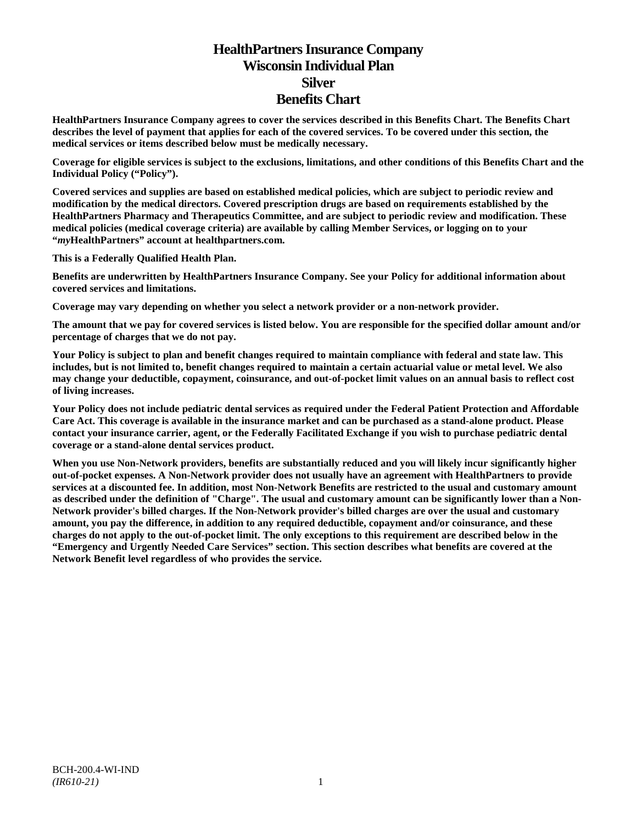# **HealthPartners Insurance Company Wisconsin Individual Plan Silver Benefits Chart**

**HealthPartners Insurance Company agrees to cover the services described in this Benefits Chart. The Benefits Chart describes the level of payment that applies for each of the covered services. To be covered under this section, the medical services or items described below must be medically necessary.**

**Coverage for eligible services is subject to the exclusions, limitations, and other conditions of this Benefits Chart and the Individual Policy ("Policy").**

**Covered services and supplies are based on established medical policies, which are subject to periodic review and modification by the medical directors. Covered prescription drugs are based on requirements established by the HealthPartners Pharmacy and Therapeutics Committee, and are subject to periodic review and modification. These medical policies (medical coverage criteria) are available by calling Member Services, or logging on to your "***my***HealthPartners" account at [healthpartners.com.](http://www.healthpartners.com/)**

**This is a Federally Qualified Health Plan.**

**Benefits are underwritten by HealthPartners Insurance Company. See your Policy for additional information about covered services and limitations.**

**Coverage may vary depending on whether you select a network provider or a non-network provider.**

**The amount that we pay for covered services is listed below. You are responsible for the specified dollar amount and/or percentage of charges that we do not pay.**

**Your Policy is subject to plan and benefit changes required to maintain compliance with federal and state law. This includes, but is not limited to, benefit changes required to maintain a certain actuarial value or metal level. We also may change your deductible, copayment, coinsurance, and out-of-pocket limit values on an annual basis to reflect cost of living increases.**

**Your Policy does not include pediatric dental services as required under the Federal Patient Protection and Affordable Care Act. This coverage is available in the insurance market and can be purchased as a stand-alone product. Please contact your insurance carrier, agent, or the Federally Facilitated Exchange if you wish to purchase pediatric dental coverage or a stand-alone dental services product.**

**When you use Non-Network providers, benefits are substantially reduced and you will likely incur significantly higher out-of-pocket expenses. A Non-Network provider does not usually have an agreement with HealthPartners to provide services at a discounted fee. In addition, most Non-Network Benefits are restricted to the usual and customary amount as described under the definition of "Charge". The usual and customary amount can be significantly lower than a Non-Network provider's billed charges. If the Non-Network provider's billed charges are over the usual and customary amount, you pay the difference, in addition to any required deductible, copayment and/or coinsurance, and these charges do not apply to the out-of-pocket limit. The only exceptions to this requirement are described below in the "Emergency and Urgently Needed Care Services" section. This section describes what benefits are covered at the Network Benefit level regardless of who provides the service.**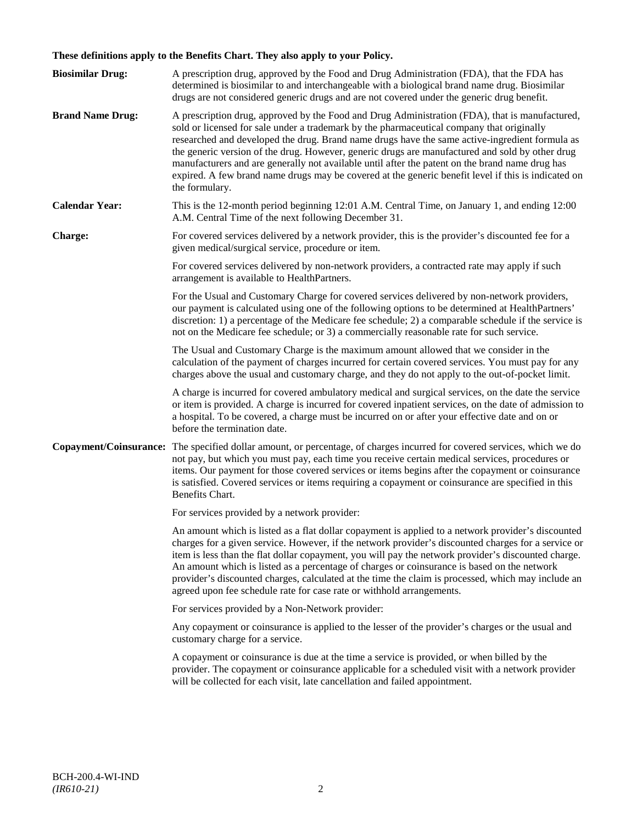## **These definitions apply to the Benefits Chart. They also apply to your Policy.**

| <b>Biosimilar Drug:</b> | A prescription drug, approved by the Food and Drug Administration (FDA), that the FDA has<br>determined is biosimilar to and interchangeable with a biological brand name drug. Biosimilar<br>drugs are not considered generic drugs and are not covered under the generic drug benefit.                                                                                                                                                                                                                                                                                                                                     |
|-------------------------|------------------------------------------------------------------------------------------------------------------------------------------------------------------------------------------------------------------------------------------------------------------------------------------------------------------------------------------------------------------------------------------------------------------------------------------------------------------------------------------------------------------------------------------------------------------------------------------------------------------------------|
| <b>Brand Name Drug:</b> | A prescription drug, approved by the Food and Drug Administration (FDA), that is manufactured,<br>sold or licensed for sale under a trademark by the pharmaceutical company that originally<br>researched and developed the drug. Brand name drugs have the same active-ingredient formula as<br>the generic version of the drug. However, generic drugs are manufactured and sold by other drug<br>manufacturers and are generally not available until after the patent on the brand name drug has<br>expired. A few brand name drugs may be covered at the generic benefit level if this is indicated on<br>the formulary. |
| <b>Calendar Year:</b>   | This is the 12-month period beginning 12:01 A.M. Central Time, on January 1, and ending 12:00<br>A.M. Central Time of the next following December 31.                                                                                                                                                                                                                                                                                                                                                                                                                                                                        |
| Charge:                 | For covered services delivered by a network provider, this is the provider's discounted fee for a<br>given medical/surgical service, procedure or item.                                                                                                                                                                                                                                                                                                                                                                                                                                                                      |
|                         | For covered services delivered by non-network providers, a contracted rate may apply if such<br>arrangement is available to HealthPartners.                                                                                                                                                                                                                                                                                                                                                                                                                                                                                  |
|                         | For the Usual and Customary Charge for covered services delivered by non-network providers,<br>our payment is calculated using one of the following options to be determined at HealthPartners'<br>discretion: 1) a percentage of the Medicare fee schedule; 2) a comparable schedule if the service is<br>not on the Medicare fee schedule; or 3) a commercially reasonable rate for such service.                                                                                                                                                                                                                          |
|                         | The Usual and Customary Charge is the maximum amount allowed that we consider in the<br>calculation of the payment of charges incurred for certain covered services. You must pay for any<br>charges above the usual and customary charge, and they do not apply to the out-of-pocket limit.                                                                                                                                                                                                                                                                                                                                 |
|                         | A charge is incurred for covered ambulatory medical and surgical services, on the date the service<br>or item is provided. A charge is incurred for covered inpatient services, on the date of admission to<br>a hospital. To be covered, a charge must be incurred on or after your effective date and on or<br>before the termination date.                                                                                                                                                                                                                                                                                |
| Copayment/Coinsurance:  | The specified dollar amount, or percentage, of charges incurred for covered services, which we do<br>not pay, but which you must pay, each time you receive certain medical services, procedures or<br>items. Our payment for those covered services or items begins after the copayment or coinsurance<br>is satisfied. Covered services or items requiring a copayment or coinsurance are specified in this<br>Benefits Chart.                                                                                                                                                                                             |
|                         | For services provided by a network provider:                                                                                                                                                                                                                                                                                                                                                                                                                                                                                                                                                                                 |
|                         | An amount which is listed as a flat dollar copayment is applied to a network provider's discounted<br>charges for a given service. However, if the network provider's discounted charges for a service or<br>item is less than the flat dollar copayment, you will pay the network provider's discounted charge.<br>An amount which is listed as a percentage of charges or coinsurance is based on the network<br>provider's discounted charges, calculated at the time the claim is processed, which may include an<br>agreed upon fee schedule rate for case rate or withhold arrangements.                               |
|                         | For services provided by a Non-Network provider:                                                                                                                                                                                                                                                                                                                                                                                                                                                                                                                                                                             |
|                         | Any copayment or coinsurance is applied to the lesser of the provider's charges or the usual and<br>customary charge for a service.                                                                                                                                                                                                                                                                                                                                                                                                                                                                                          |
|                         | A copayment or coinsurance is due at the time a service is provided, or when billed by the<br>provider. The copayment or coinsurance applicable for a scheduled visit with a network provider<br>will be collected for each visit, late cancellation and failed appointment.                                                                                                                                                                                                                                                                                                                                                 |
|                         |                                                                                                                                                                                                                                                                                                                                                                                                                                                                                                                                                                                                                              |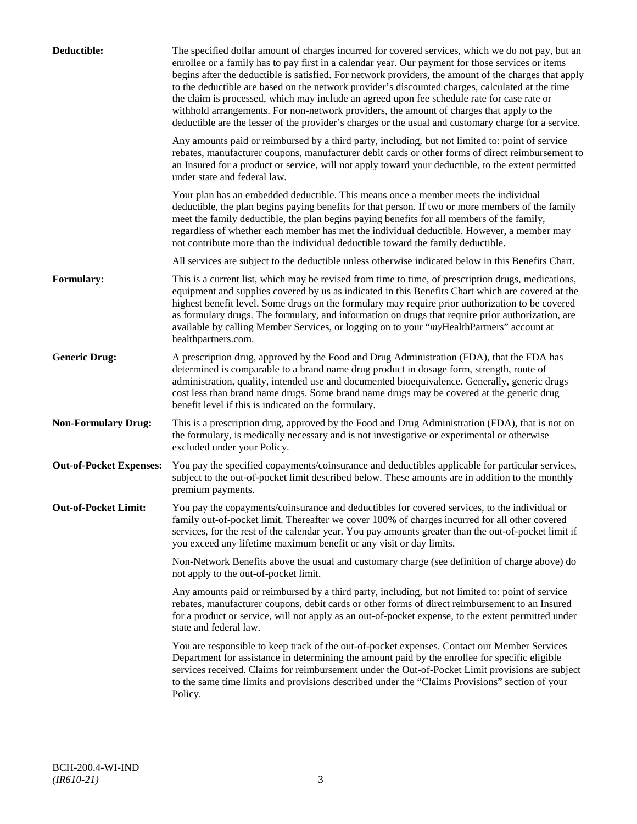| Deductible:                    | The specified dollar amount of charges incurred for covered services, which we do not pay, but an<br>enrollee or a family has to pay first in a calendar year. Our payment for those services or items<br>begins after the deductible is satisfied. For network providers, the amount of the charges that apply<br>to the deductible are based on the network provider's discounted charges, calculated at the time<br>the claim is processed, which may include an agreed upon fee schedule rate for case rate or<br>withhold arrangements. For non-network providers, the amount of charges that apply to the<br>deductible are the lesser of the provider's charges or the usual and customary charge for a service. |
|--------------------------------|-------------------------------------------------------------------------------------------------------------------------------------------------------------------------------------------------------------------------------------------------------------------------------------------------------------------------------------------------------------------------------------------------------------------------------------------------------------------------------------------------------------------------------------------------------------------------------------------------------------------------------------------------------------------------------------------------------------------------|
|                                | Any amounts paid or reimbursed by a third party, including, but not limited to: point of service<br>rebates, manufacturer coupons, manufacturer debit cards or other forms of direct reimbursement to<br>an Insured for a product or service, will not apply toward your deductible, to the extent permitted<br>under state and federal law.                                                                                                                                                                                                                                                                                                                                                                            |
|                                | Your plan has an embedded deductible. This means once a member meets the individual<br>deductible, the plan begins paying benefits for that person. If two or more members of the family<br>meet the family deductible, the plan begins paying benefits for all members of the family,<br>regardless of whether each member has met the individual deductible. However, a member may<br>not contribute more than the individual deductible toward the family deductible.                                                                                                                                                                                                                                                |
|                                | All services are subject to the deductible unless otherwise indicated below in this Benefits Chart.                                                                                                                                                                                                                                                                                                                                                                                                                                                                                                                                                                                                                     |
| <b>Formulary:</b>              | This is a current list, which may be revised from time to time, of prescription drugs, medications,<br>equipment and supplies covered by us as indicated in this Benefits Chart which are covered at the<br>highest benefit level. Some drugs on the formulary may require prior authorization to be covered<br>as formulary drugs. The formulary, and information on drugs that require prior authorization, are<br>available by calling Member Services, or logging on to your "myHealthPartners" account at<br>healthpartners.com.                                                                                                                                                                                   |
| <b>Generic Drug:</b>           | A prescription drug, approved by the Food and Drug Administration (FDA), that the FDA has<br>determined is comparable to a brand name drug product in dosage form, strength, route of<br>administration, quality, intended use and documented bioequivalence. Generally, generic drugs<br>cost less than brand name drugs. Some brand name drugs may be covered at the generic drug<br>benefit level if this is indicated on the formulary.                                                                                                                                                                                                                                                                             |
| <b>Non-Formulary Drug:</b>     | This is a prescription drug, approved by the Food and Drug Administration (FDA), that is not on<br>the formulary, is medically necessary and is not investigative or experimental or otherwise<br>excluded under your Policy.                                                                                                                                                                                                                                                                                                                                                                                                                                                                                           |
| <b>Out-of-Pocket Expenses:</b> | You pay the specified copayments/coinsurance and deductibles applicable for particular services,<br>subject to the out-of-pocket limit described below. These amounts are in addition to the monthly<br>premium payments.                                                                                                                                                                                                                                                                                                                                                                                                                                                                                               |
| <b>Out-of-Pocket Limit:</b>    | You pay the copayments/coinsurance and deductibles for covered services, to the individual or<br>family out-of-pocket limit. Thereafter we cover 100% of charges incurred for all other covered<br>services, for the rest of the calendar year. You pay amounts greater than the out-of-pocket limit if<br>you exceed any lifetime maximum benefit or any visit or day limits.                                                                                                                                                                                                                                                                                                                                          |
|                                | Non-Network Benefits above the usual and customary charge (see definition of charge above) do<br>not apply to the out-of-pocket limit.                                                                                                                                                                                                                                                                                                                                                                                                                                                                                                                                                                                  |
|                                | Any amounts paid or reimbursed by a third party, including, but not limited to: point of service<br>rebates, manufacturer coupons, debit cards or other forms of direct reimbursement to an Insured<br>for a product or service, will not apply as an out-of-pocket expense, to the extent permitted under<br>state and federal law.                                                                                                                                                                                                                                                                                                                                                                                    |
|                                | You are responsible to keep track of the out-of-pocket expenses. Contact our Member Services<br>Department for assistance in determining the amount paid by the enrollee for specific eligible<br>services received. Claims for reimbursement under the Out-of-Pocket Limit provisions are subject<br>to the same time limits and provisions described under the "Claims Provisions" section of your<br>Policy.                                                                                                                                                                                                                                                                                                         |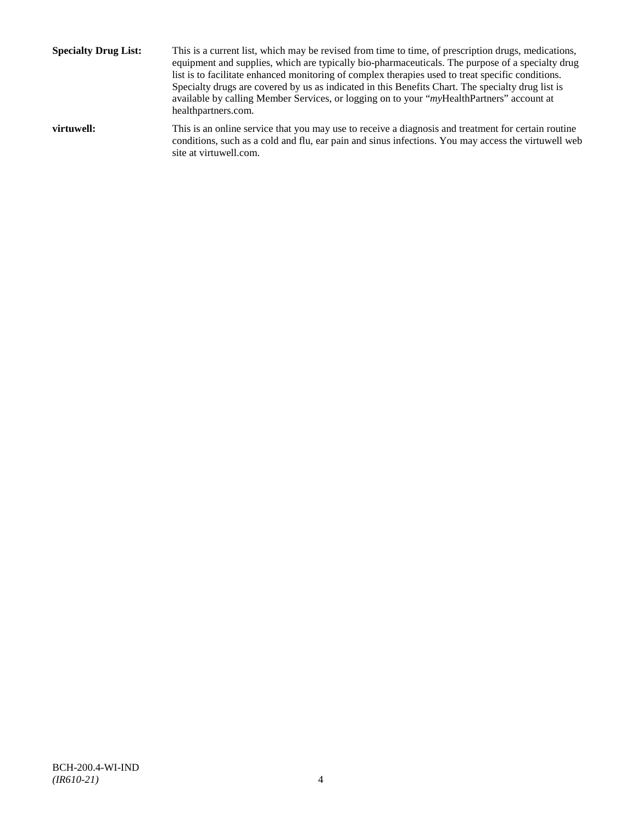**Specialty Drug List:** This is a current list, which may be revised from time to time, of prescription drugs, medications, equipment and supplies, which are typically bio-pharmaceuticals. The purpose of a specialty drug list is to facilitate enhanced monitoring of complex therapies used to treat specific conditions. Specialty drugs are covered by us as indicated in this Benefits Chart. The specialty drug list is available by calling Member Services, or logging on to your "*my*HealthPartners" account at [healthpartners.com.](http://www.healthpartners.com/) **virtuwell:** This is an online service that you may use to receive a diagnosis and treatment for certain routine conditions, such as a cold and flu, ear pain and sinus infections. You may access the virtuwell web

site a[t virtuwell.com.](http://www.virtuwell.com/)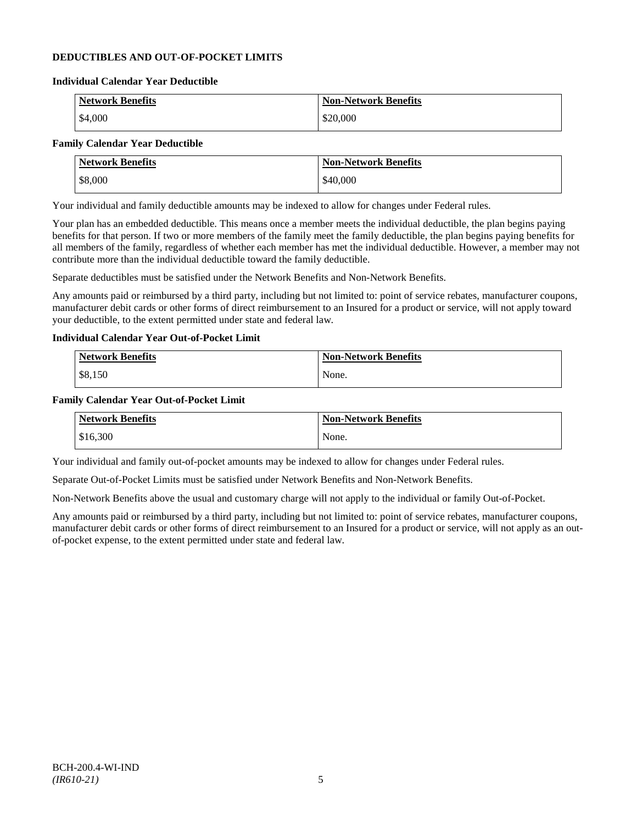## **DEDUCTIBLES AND OUT-OF-POCKET LIMITS**

#### **Individual Calendar Year Deductible**

| <b>Network Benefits</b> | <b>Non-Network Benefits</b> |
|-------------------------|-----------------------------|
| \$4,000                 | \$20,000                    |

## **Family Calendar Year Deductible**

| <b>Network Benefits</b> | <b>Non-Network Benefits</b> |
|-------------------------|-----------------------------|
| \$8,000                 | \$40,000                    |

Your individual and family deductible amounts may be indexed to allow for changes under Federal rules.

Your plan has an embedded deductible. This means once a member meets the individual deductible, the plan begins paying benefits for that person. If two or more members of the family meet the family deductible, the plan begins paying benefits for all members of the family, regardless of whether each member has met the individual deductible. However, a member may not contribute more than the individual deductible toward the family deductible.

Separate deductibles must be satisfied under the Network Benefits and Non-Network Benefits.

Any amounts paid or reimbursed by a third party, including but not limited to: point of service rebates, manufacturer coupons, manufacturer debit cards or other forms of direct reimbursement to an Insured for a product or service, will not apply toward your deductible, to the extent permitted under state and federal law.

## **Individual Calendar Year Out-of-Pocket Limit**

| Network Benefits | <b>Non-Network Benefits</b> |
|------------------|-----------------------------|
| \$8,150          | None.                       |

### **Family Calendar Year Out-of-Pocket Limit**

| <b>Network Benefits</b> | <b>Non-Network Benefits</b> |
|-------------------------|-----------------------------|
| \$16,300                | None.                       |

Your individual and family out-of-pocket amounts may be indexed to allow for changes under Federal rules.

Separate Out-of-Pocket Limits must be satisfied under Network Benefits and Non-Network Benefits.

Non-Network Benefits above the usual and customary charge will not apply to the individual or family Out-of-Pocket.

Any amounts paid or reimbursed by a third party, including but not limited to: point of service rebates, manufacturer coupons, manufacturer debit cards or other forms of direct reimbursement to an Insured for a product or service, will not apply as an outof-pocket expense, to the extent permitted under state and federal law.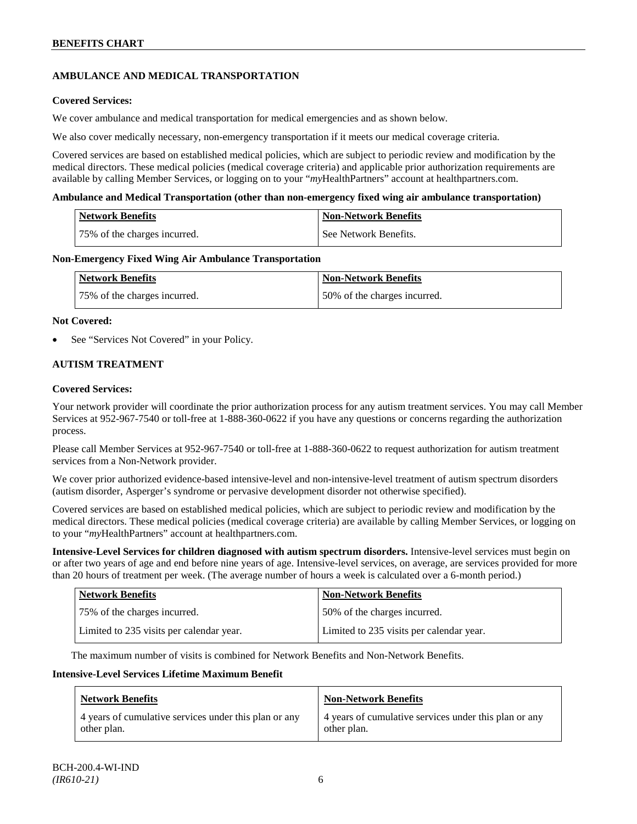## **AMBULANCE AND MEDICAL TRANSPORTATION**

## **Covered Services:**

We cover ambulance and medical transportation for medical emergencies and as shown below.

We also cover medically necessary, non-emergency transportation if it meets our medical coverage criteria.

Covered services are based on established medical policies, which are subject to periodic review and modification by the medical directors. These medical policies (medical coverage criteria) and applicable prior authorization requirements are available by calling Member Services, or logging on to your "*my*HealthPartners" account a[t healthpartners.com.](http://www.healthpartners.com/)

### **Ambulance and Medical Transportation (other than non-emergency fixed wing air ambulance transportation)**

| <b>Network Benefits</b>      | <b>Non-Network Benefits</b> |
|------------------------------|-----------------------------|
| 75% of the charges incurred. | See Network Benefits.       |

### **Non-Emergency Fixed Wing Air Ambulance Transportation**

| <b>Network Benefits</b>      | <b>Non-Network Benefits</b>  |
|------------------------------|------------------------------|
| 75% of the charges incurred. | 50% of the charges incurred. |

### **Not Covered:**

See "Services Not Covered" in your Policy.

## **AUTISM TREATMENT**

### **Covered Services:**

Your network provider will coordinate the prior authorization process for any autism treatment services. You may call Member Services at 952-967-7540 or toll-free at 1-888-360-0622 if you have any questions or concerns regarding the authorization process.

Please call Member Services at 952-967-7540 or toll-free at 1-888-360-0622 to request authorization for autism treatment services from a Non-Network provider.

We cover prior authorized evidence-based intensive-level and non-intensive-level treatment of autism spectrum disorders (autism disorder, Asperger's syndrome or pervasive development disorder not otherwise specified).

Covered services are based on established medical policies, which are subject to periodic review and modification by the medical directors. These medical policies (medical coverage criteria) are available by calling Member Services, or logging on to your "*my*HealthPartners" account at [healthpartners.com.](http://www.healthpartners.com/)

**Intensive-Level Services for children diagnosed with autism spectrum disorders.** Intensive-level services must begin on or after two years of age and end before nine years of age. Intensive-level services, on average, are services provided for more than 20 hours of treatment per week. (The average number of hours a week is calculated over a 6-month period.)

| <b>Network Benefits</b>                  | <b>Non-Network Benefits</b>              |
|------------------------------------------|------------------------------------------|
| 75% of the charges incurred.             | 50% of the charges incurred.             |
| Limited to 235 visits per calendar year. | Limited to 235 visits per calendar year. |

The maximum number of visits is combined for Network Benefits and Non-Network Benefits.

#### **Intensive-Level Services Lifetime Maximum Benefit**

| <b>Network Benefits</b>                               | <b>Non-Network Benefits</b>                           |
|-------------------------------------------------------|-------------------------------------------------------|
| 4 years of cumulative services under this plan or any | 4 years of cumulative services under this plan or any |
| other plan.                                           | other plan.                                           |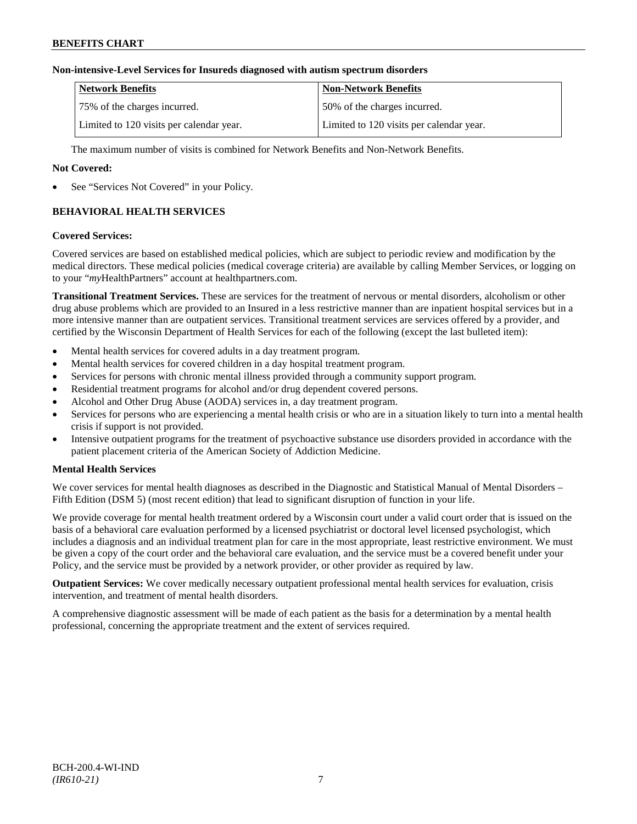## **Non-intensive-Level Services for Insureds diagnosed with autism spectrum disorders**

| <b>Network Benefits</b>                  | <b>Non-Network Benefits</b>              |
|------------------------------------------|------------------------------------------|
| 75% of the charges incurred.             | 150% of the charges incurred.            |
| Limited to 120 visits per calendar year. | Limited to 120 visits per calendar year. |

The maximum number of visits is combined for Network Benefits and Non-Network Benefits.

## **Not Covered:**

See "Services Not Covered" in your Policy.

## **BEHAVIORAL HEALTH SERVICES**

#### **Covered Services:**

Covered services are based on established medical policies, which are subject to periodic review and modification by the medical directors. These medical policies (medical coverage criteria) are available by calling Member Services, or logging on to your "*my*HealthPartners" account at [healthpartners.com.](http://www.healthpartners.com/)

**Transitional Treatment Services.** These are services for the treatment of nervous or mental disorders, alcoholism or other drug abuse problems which are provided to an Insured in a less restrictive manner than are inpatient hospital services but in a more intensive manner than are outpatient services. Transitional treatment services are services offered by a provider, and certified by the Wisconsin Department of Health Services for each of the following (except the last bulleted item):

- Mental health services for covered adults in a day treatment program.
- Mental health services for covered children in a day hospital treatment program.
- Services for persons with chronic mental illness provided through a community support program.
- Residential treatment programs for alcohol and/or drug dependent covered persons.
- Alcohol and Other Drug Abuse (AODA) services in, a day treatment program.
- Services for persons who are experiencing a mental health crisis or who are in a situation likely to turn into a mental health crisis if support is not provided.
- Intensive outpatient programs for the treatment of psychoactive substance use disorders provided in accordance with the patient placement criteria of the American Society of Addiction Medicine.

## **Mental Health Services**

We cover services for mental health diagnoses as described in the Diagnostic and Statistical Manual of Mental Disorders – Fifth Edition (DSM 5) (most recent edition) that lead to significant disruption of function in your life.

We provide coverage for mental health treatment ordered by a Wisconsin court under a valid court order that is issued on the basis of a behavioral care evaluation performed by a licensed psychiatrist or doctoral level licensed psychologist, which includes a diagnosis and an individual treatment plan for care in the most appropriate, least restrictive environment. We must be given a copy of the court order and the behavioral care evaluation, and the service must be a covered benefit under your Policy, and the service must be provided by a network provider, or other provider as required by law.

**Outpatient Services:** We cover medically necessary outpatient professional mental health services for evaluation, crisis intervention, and treatment of mental health disorders.

A comprehensive diagnostic assessment will be made of each patient as the basis for a determination by a mental health professional, concerning the appropriate treatment and the extent of services required.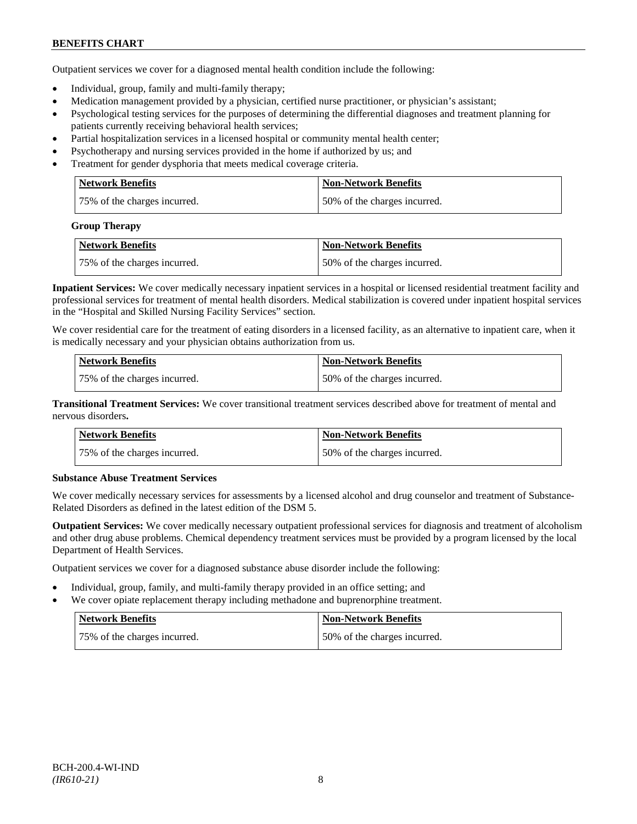Outpatient services we cover for a diagnosed mental health condition include the following:

- Individual, group, family and multi-family therapy;
- Medication management provided by a physician, certified nurse practitioner, or physician's assistant;
- Psychological testing services for the purposes of determining the differential diagnoses and treatment planning for patients currently receiving behavioral health services;
- Partial hospitalization services in a licensed hospital or community mental health center;
- Psychotherapy and nursing services provided in the home if authorized by us; and
- Treatment for gender dysphoria that meets medical coverage criteria.

| <b>Network Benefits</b>      | <b>Non-Network Benefits</b>  |
|------------------------------|------------------------------|
| 75% of the charges incurred. | 50% of the charges incurred. |

#### **Group Therapy**

| Network Benefits             | <b>Non-Network Benefits</b>  |
|------------------------------|------------------------------|
| 75% of the charges incurred. | 50% of the charges incurred. |

**Inpatient Services:** We cover medically necessary inpatient services in a hospital or licensed residential treatment facility and professional services for treatment of mental health disorders. Medical stabilization is covered under inpatient hospital services in the "Hospital and Skilled Nursing Facility Services" section.

We cover residential care for the treatment of eating disorders in a licensed facility, as an alternative to inpatient care, when it is medically necessary and your physician obtains authorization from us.

| <b>Network Benefits</b>      | <b>Non-Network Benefits</b>  |
|------------------------------|------------------------------|
| 75% of the charges incurred. | 50% of the charges incurred. |

**Transitional Treatment Services:** We cover transitional treatment services described above for treatment of mental and nervous disorders**.**

| <b>Network Benefits</b>      | <b>Non-Network Benefits</b>   |
|------------------------------|-------------------------------|
| 75% of the charges incurred. | 150% of the charges incurred. |

## **Substance Abuse Treatment Services**

We cover medically necessary services for assessments by a licensed alcohol and drug counselor and treatment of Substance-Related Disorders as defined in the latest edition of the DSM 5.

**Outpatient Services:** We cover medically necessary outpatient professional services for diagnosis and treatment of alcoholism and other drug abuse problems. Chemical dependency treatment services must be provided by a program licensed by the local Department of Health Services.

Outpatient services we cover for a diagnosed substance abuse disorder include the following:

- Individual, group, family, and multi-family therapy provided in an office setting; and
- We cover opiate replacement therapy including methadone and buprenorphine treatment.

| Network Benefits             | Non-Network Benefits         |
|------------------------------|------------------------------|
| 75% of the charges incurred. | 50% of the charges incurred. |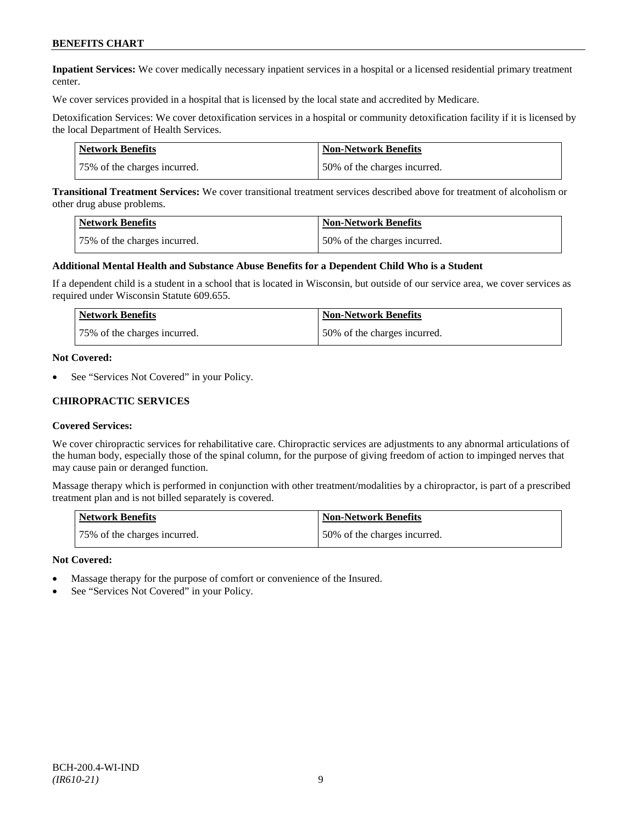**Inpatient Services:** We cover medically necessary inpatient services in a hospital or a licensed residential primary treatment center.

We cover services provided in a hospital that is licensed by the local state and accredited by Medicare.

Detoxification Services: We cover detoxification services in a hospital or community detoxification facility if it is licensed by the local Department of Health Services.

| Network Benefits             | <b>Non-Network Benefits</b>  |
|------------------------------|------------------------------|
| 75% of the charges incurred. | 50% of the charges incurred. |

**Transitional Treatment Services:** We cover transitional treatment services described above for treatment of alcoholism or other drug abuse problems.

| Network Benefits             | <b>Non-Network Benefits</b>  |
|------------------------------|------------------------------|
| 75% of the charges incurred. | 50% of the charges incurred. |

#### **Additional Mental Health and Substance Abuse Benefits for a Dependent Child Who is a Student**

If a dependent child is a student in a school that is located in Wisconsin, but outside of our service area, we cover services as required under Wisconsin Statute 609.655.

| <b>Network Benefits</b>      | <b>Non-Network Benefits</b>  |
|------------------------------|------------------------------|
| 75% of the charges incurred. | 50% of the charges incurred. |

#### **Not Covered:**

See "Services Not Covered" in your Policy.

### **CHIROPRACTIC SERVICES**

#### **Covered Services:**

We cover chiropractic services for rehabilitative care. Chiropractic services are adjustments to any abnormal articulations of the human body, especially those of the spinal column, for the purpose of giving freedom of action to impinged nerves that may cause pain or deranged function.

Massage therapy which is performed in conjunction with other treatment/modalities by a chiropractor, is part of a prescribed treatment plan and is not billed separately is covered.

| <b>Network Benefits</b>      | Non-Network Benefits         |
|------------------------------|------------------------------|
| 75% of the charges incurred. | 50% of the charges incurred. |

- Massage therapy for the purpose of comfort or convenience of the Insured.
- See "Services Not Covered" in your Policy.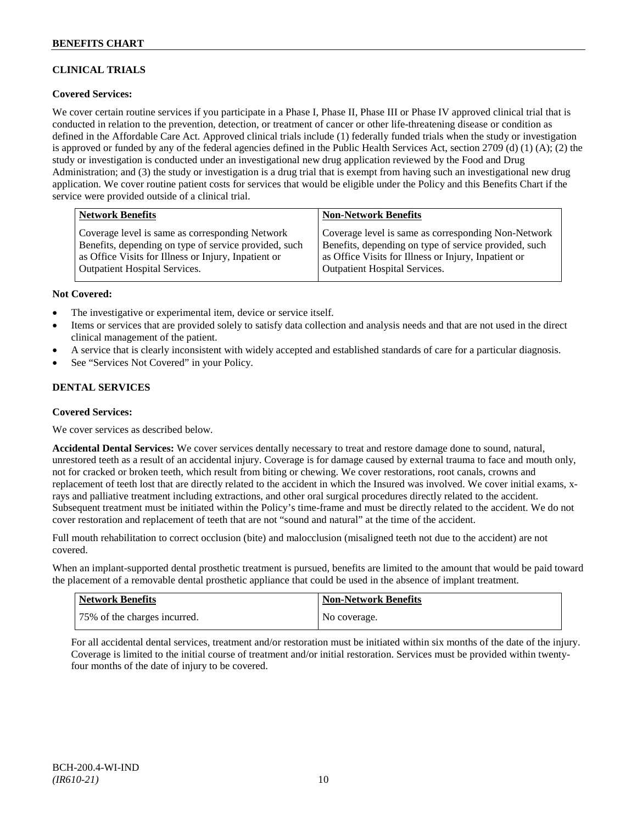## **CLINICAL TRIALS**

## **Covered Services:**

We cover certain routine services if you participate in a Phase I, Phase II, Phase III or Phase IV approved clinical trial that is conducted in relation to the prevention, detection, or treatment of cancer or other life-threatening disease or condition as defined in the Affordable Care Act. Approved clinical trials include (1) federally funded trials when the study or investigation is approved or funded by any of the federal agencies defined in the Public Health Services Act, section 2709 (d) (1) (A); (2) the study or investigation is conducted under an investigational new drug application reviewed by the Food and Drug Administration; and (3) the study or investigation is a drug trial that is exempt from having such an investigational new drug application. We cover routine patient costs for services that would be eligible under the Policy and this Benefits Chart if the service were provided outside of a clinical trial.

| <b>Network Benefits</b>                               | <b>Non-Network Benefits</b>                           |
|-------------------------------------------------------|-------------------------------------------------------|
| Coverage level is same as corresponding Network       | Coverage level is same as corresponding Non-Network   |
| Benefits, depending on type of service provided, such | Benefits, depending on type of service provided, such |
| as Office Visits for Illness or Injury, Inpatient or  | as Office Visits for Illness or Injury, Inpatient or  |
| Outpatient Hospital Services.                         | <b>Outpatient Hospital Services.</b>                  |

### **Not Covered:**

- The investigative or experimental item, device or service itself.
- Items or services that are provided solely to satisfy data collection and analysis needs and that are not used in the direct clinical management of the patient.
- A service that is clearly inconsistent with widely accepted and established standards of care for a particular diagnosis.
- See "Services Not Covered" in your Policy.

## **DENTAL SERVICES**

#### **Covered Services:**

We cover services as described below.

**Accidental Dental Services:** We cover services dentally necessary to treat and restore damage done to sound, natural, unrestored teeth as a result of an accidental injury. Coverage is for damage caused by external trauma to face and mouth only, not for cracked or broken teeth, which result from biting or chewing. We cover restorations, root canals, crowns and replacement of teeth lost that are directly related to the accident in which the Insured was involved. We cover initial exams, xrays and palliative treatment including extractions, and other oral surgical procedures directly related to the accident. Subsequent treatment must be initiated within the Policy's time-frame and must be directly related to the accident. We do not cover restoration and replacement of teeth that are not "sound and natural" at the time of the accident.

Full mouth rehabilitation to correct occlusion (bite) and malocclusion (misaligned teeth not due to the accident) are not covered.

When an implant-supported dental prosthetic treatment is pursued, benefits are limited to the amount that would be paid toward the placement of a removable dental prosthetic appliance that could be used in the absence of implant treatment.

| Network Benefits             | <b>Non-Network Benefits</b> |
|------------------------------|-----------------------------|
| 75% of the charges incurred. | No coverage.                |

For all accidental dental services, treatment and/or restoration must be initiated within six months of the date of the injury. Coverage is limited to the initial course of treatment and/or initial restoration. Services must be provided within twentyfour months of the date of injury to be covered.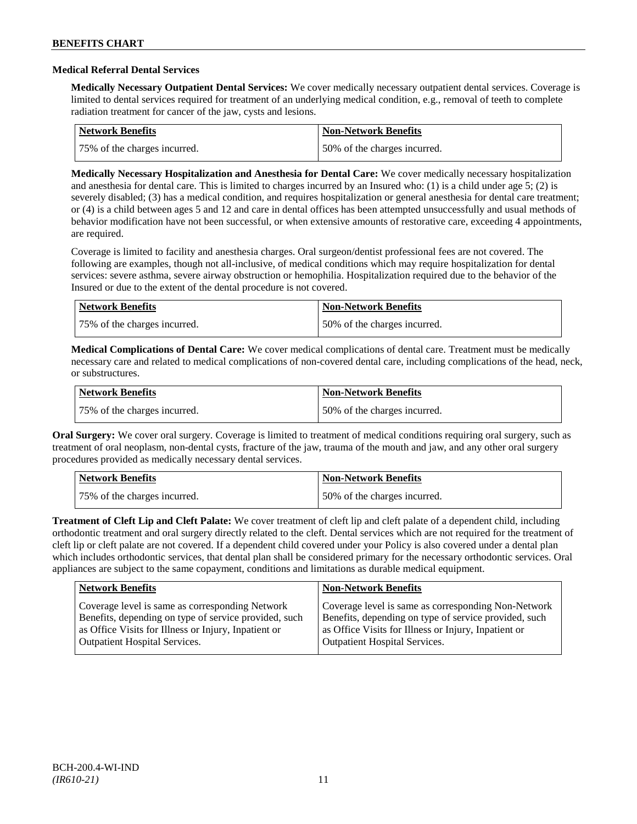## **Medical Referral Dental Services**

**Medically Necessary Outpatient Dental Services:** We cover medically necessary outpatient dental services. Coverage is limited to dental services required for treatment of an underlying medical condition, e.g., removal of teeth to complete radiation treatment for cancer of the jaw, cysts and lesions.

| Network Benefits             | <b>Non-Network Benefits</b>  |
|------------------------------|------------------------------|
| 75% of the charges incurred. | 50% of the charges incurred. |

**Medically Necessary Hospitalization and Anesthesia for Dental Care:** We cover medically necessary hospitalization and anesthesia for dental care. This is limited to charges incurred by an Insured who: (1) is a child under age 5; (2) is severely disabled; (3) has a medical condition, and requires hospitalization or general anesthesia for dental care treatment; or (4) is a child between ages 5 and 12 and care in dental offices has been attempted unsuccessfully and usual methods of behavior modification have not been successful, or when extensive amounts of restorative care, exceeding 4 appointments, are required.

Coverage is limited to facility and anesthesia charges. Oral surgeon/dentist professional fees are not covered. The following are examples, though not all-inclusive, of medical conditions which may require hospitalization for dental services: severe asthma, severe airway obstruction or hemophilia. Hospitalization required due to the behavior of the Insured or due to the extent of the dental procedure is not covered.

| Network Benefits             | <b>Non-Network Benefits</b>  |
|------------------------------|------------------------------|
| 75% of the charges incurred. | 50% of the charges incurred. |

**Medical Complications of Dental Care:** We cover medical complications of dental care. Treatment must be medically necessary care and related to medical complications of non-covered dental care, including complications of the head, neck, or substructures.

| Network Benefits             | Non-Network Benefits         |
|------------------------------|------------------------------|
| 75% of the charges incurred. | 50% of the charges incurred. |

**Oral Surgery:** We cover oral surgery. Coverage is limited to treatment of medical conditions requiring oral surgery, such as treatment of oral neoplasm, non-dental cysts, fracture of the jaw, trauma of the mouth and jaw, and any other oral surgery procedures provided as medically necessary dental services.

| Network Benefits             | <b>Non-Network Benefits</b>  |
|------------------------------|------------------------------|
| 75% of the charges incurred. | 50% of the charges incurred. |

**Treatment of Cleft Lip and Cleft Palate:** We cover treatment of cleft lip and cleft palate of a dependent child, including orthodontic treatment and oral surgery directly related to the cleft. Dental services which are not required for the treatment of cleft lip or cleft palate are not covered. If a dependent child covered under your Policy is also covered under a dental plan which includes orthodontic services, that dental plan shall be considered primary for the necessary orthodontic services. Oral appliances are subject to the same copayment, conditions and limitations as durable medical equipment.

| <b>Network Benefits</b>                               | <b>Non-Network Benefits</b>                           |
|-------------------------------------------------------|-------------------------------------------------------|
| Coverage level is same as corresponding Network       | Coverage level is same as corresponding Non-Network   |
| Benefits, depending on type of service provided, such | Benefits, depending on type of service provided, such |
| as Office Visits for Illness or Injury, Inpatient or  | as Office Visits for Illness or Injury, Inpatient or  |
| <b>Outpatient Hospital Services.</b>                  | <b>Outpatient Hospital Services.</b>                  |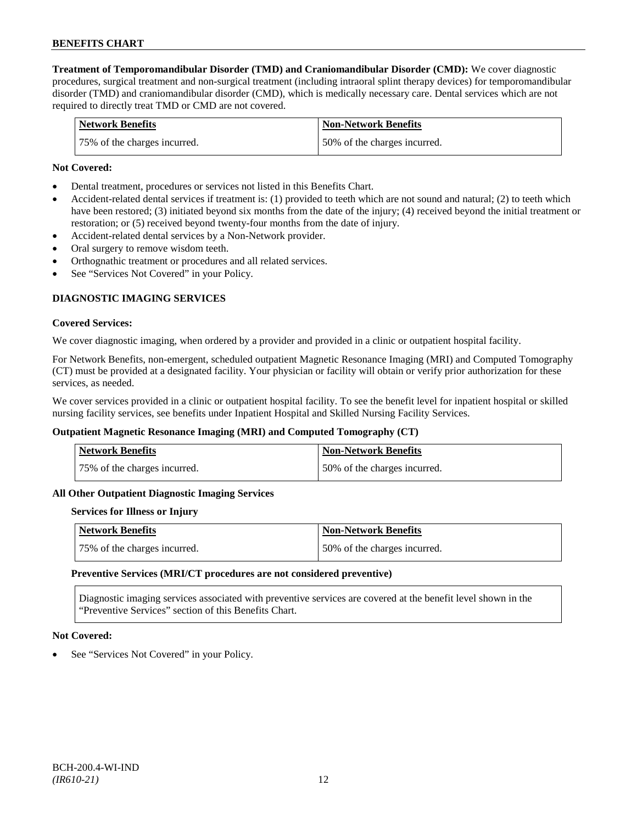**Treatment of Temporomandibular Disorder (TMD) and Craniomandibular Disorder (CMD):** We cover diagnostic procedures, surgical treatment and non-surgical treatment (including intraoral splint therapy devices) for temporomandibular disorder (TMD) and craniomandibular disorder (CMD), which is medically necessary care. Dental services which are not required to directly treat TMD or CMD are not covered.

| <b>Network Benefits</b>      | <b>Non-Network Benefits</b>   |
|------------------------------|-------------------------------|
| 75% of the charges incurred. | 150% of the charges incurred. |

## **Not Covered:**

- Dental treatment, procedures or services not listed in this Benefits Chart.
- Accident-related dental services if treatment is: (1) provided to teeth which are not sound and natural; (2) to teeth which have been restored; (3) initiated beyond six months from the date of the injury; (4) received beyond the initial treatment or restoration; or (5) received beyond twenty-four months from the date of injury.
- Accident-related dental services by a Non-Network provider.
- Oral surgery to remove wisdom teeth.
- Orthognathic treatment or procedures and all related services.
- See "Services Not Covered" in your Policy.

## **DIAGNOSTIC IMAGING SERVICES**

#### **Covered Services:**

We cover diagnostic imaging, when ordered by a provider and provided in a clinic or outpatient hospital facility.

For Network Benefits, non-emergent, scheduled outpatient Magnetic Resonance Imaging (MRI) and Computed Tomography (CT) must be provided at a designated facility. Your physician or facility will obtain or verify prior authorization for these services, as needed.

We cover services provided in a clinic or outpatient hospital facility. To see the benefit level for inpatient hospital or skilled nursing facility services, see benefits under Inpatient Hospital and Skilled Nursing Facility Services.

#### **Outpatient Magnetic Resonance Imaging (MRI) and Computed Tomography (CT)**

| <b>Network Benefits</b>      | <b>Non-Network Benefits</b>  |
|------------------------------|------------------------------|
| 75% of the charges incurred. | 50% of the charges incurred. |

#### **All Other Outpatient Diagnostic Imaging Services**

#### **Services for Illness or Injury**

| Network Benefits             | <b>Non-Network Benefits</b>  |
|------------------------------|------------------------------|
| 75% of the charges incurred. | 50% of the charges incurred. |

#### **Preventive Services (MRI/CT procedures are not considered preventive)**

Diagnostic imaging services associated with preventive services are covered at the benefit level shown in the "Preventive Services" section of this Benefits Chart.

#### **Not Covered:**

See "Services Not Covered" in your Policy.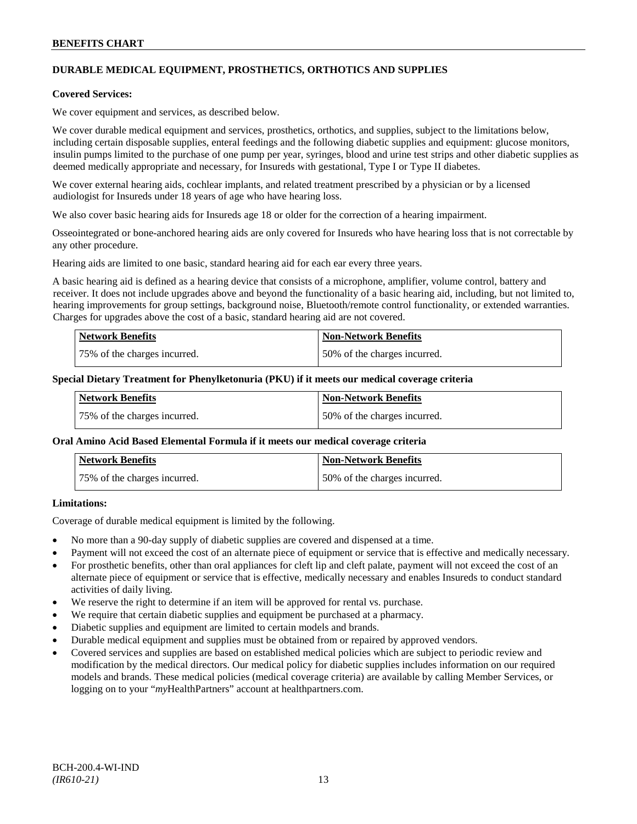## **DURABLE MEDICAL EQUIPMENT, PROSTHETICS, ORTHOTICS AND SUPPLIES**

### **Covered Services:**

We cover equipment and services, as described below.

We cover durable medical equipment and services, prosthetics, orthotics, and supplies, subject to the limitations below, including certain disposable supplies, enteral feedings and the following diabetic supplies and equipment: glucose monitors, insulin pumps limited to the purchase of one pump per year, syringes, blood and urine test strips and other diabetic supplies as deemed medically appropriate and necessary, for Insureds with gestational, Type I or Type II diabetes.

We cover external hearing aids, cochlear implants, and related treatment prescribed by a physician or by a licensed audiologist for Insureds under 18 years of age who have hearing loss.

We also cover basic hearing aids for Insureds age 18 or older for the correction of a hearing impairment.

Osseointegrated or bone-anchored hearing aids are only covered for Insureds who have hearing loss that is not correctable by any other procedure.

Hearing aids are limited to one basic, standard hearing aid for each ear every three years.

A basic hearing aid is defined as a hearing device that consists of a microphone, amplifier, volume control, battery and receiver. It does not include upgrades above and beyond the functionality of a basic hearing aid, including, but not limited to, hearing improvements for group settings, background noise, Bluetooth/remote control functionality, or extended warranties. Charges for upgrades above the cost of a basic, standard hearing aid are not covered.

| <b>Network Benefits</b>      | <b>Non-Network Benefits</b>  |
|------------------------------|------------------------------|
| 75% of the charges incurred. | 50% of the charges incurred. |

#### **Special Dietary Treatment for Phenylketonuria (PKU) if it meets our medical coverage criteria**

| <b>Network Benefits</b>      | <b>Non-Network Benefits</b>  |
|------------------------------|------------------------------|
| 75% of the charges incurred. | 50% of the charges incurred. |

#### **Oral Amino Acid Based Elemental Formula if it meets our medical coverage criteria**

| <b>Network Benefits</b>      | <b>Non-Network Benefits</b>  |
|------------------------------|------------------------------|
| 75% of the charges incurred. | 50% of the charges incurred. |

## **Limitations:**

Coverage of durable medical equipment is limited by the following.

- No more than a 90-day supply of diabetic supplies are covered and dispensed at a time.
- Payment will not exceed the cost of an alternate piece of equipment or service that is effective and medically necessary.
- For prosthetic benefits, other than oral appliances for cleft lip and cleft palate, payment will not exceed the cost of an alternate piece of equipment or service that is effective, medically necessary and enables Insureds to conduct standard activities of daily living.
- We reserve the right to determine if an item will be approved for rental vs. purchase.
- We require that certain diabetic supplies and equipment be purchased at a pharmacy.
- Diabetic supplies and equipment are limited to certain models and brands.
- Durable medical equipment and supplies must be obtained from or repaired by approved vendors.
- Covered services and supplies are based on established medical policies which are subject to periodic review and modification by the medical directors. Our medical policy for diabetic supplies includes information on our required models and brands. These medical policies (medical coverage criteria) are available by calling Member Services, or logging on to your "*my*HealthPartners" account at [healthpartners.com.](http://www.healthpartners.com/)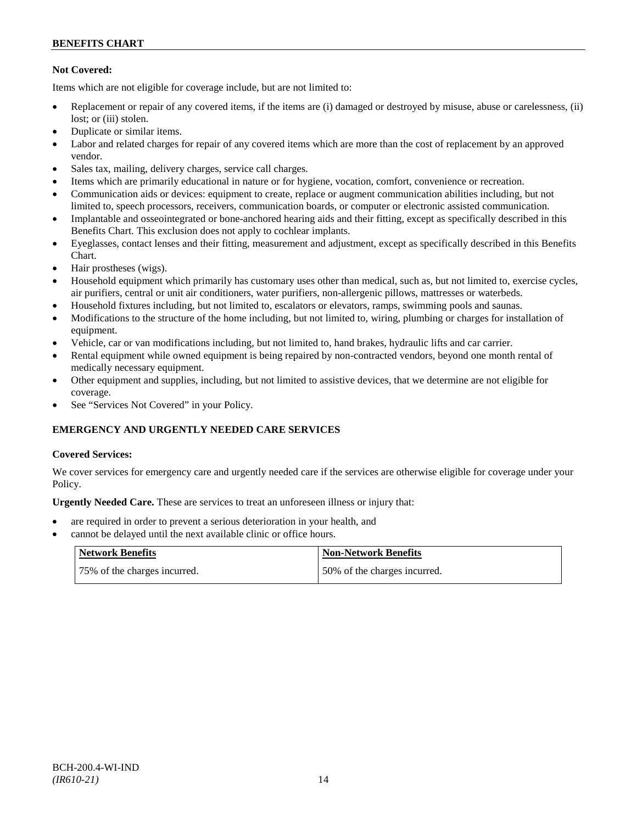## **Not Covered:**

Items which are not eligible for coverage include, but are not limited to:

- Replacement or repair of any covered items, if the items are (i) damaged or destroyed by misuse, abuse or carelessness, (ii) lost: or (iii) stolen.
- Duplicate or similar items.
- Labor and related charges for repair of any covered items which are more than the cost of replacement by an approved vendor.
- Sales tax, mailing, delivery charges, service call charges.
- Items which are primarily educational in nature or for hygiene, vocation, comfort, convenience or recreation.
- Communication aids or devices: equipment to create, replace or augment communication abilities including, but not limited to, speech processors, receivers, communication boards, or computer or electronic assisted communication.
- Implantable and osseointegrated or bone-anchored hearing aids and their fitting, except as specifically described in this Benefits Chart. This exclusion does not apply to cochlear implants.
- Eyeglasses, contact lenses and their fitting, measurement and adjustment, except as specifically described in this Benefits Chart.
- Hair prostheses (wigs).
- Household equipment which primarily has customary uses other than medical, such as, but not limited to, exercise cycles, air purifiers, central or unit air conditioners, water purifiers, non-allergenic pillows, mattresses or waterbeds.
- Household fixtures including, but not limited to, escalators or elevators, ramps, swimming pools and saunas.
- Modifications to the structure of the home including, but not limited to, wiring, plumbing or charges for installation of equipment.
- Vehicle, car or van modifications including, but not limited to, hand brakes, hydraulic lifts and car carrier.
- Rental equipment while owned equipment is being repaired by non-contracted vendors, beyond one month rental of medically necessary equipment.
- Other equipment and supplies, including, but not limited to assistive devices, that we determine are not eligible for coverage.
- See "Services Not Covered" in your Policy.

## **EMERGENCY AND URGENTLY NEEDED CARE SERVICES**

## **Covered Services:**

We cover services for emergency care and urgently needed care if the services are otherwise eligible for coverage under your Policy.

**Urgently Needed Care.** These are services to treat an unforeseen illness or injury that:

- are required in order to prevent a serious deterioration in your health, and
- cannot be delayed until the next available clinic or office hours.

| Network Benefits             | <b>Non-Network Benefits</b>  |
|------------------------------|------------------------------|
| 75% of the charges incurred. | 50% of the charges incurred. |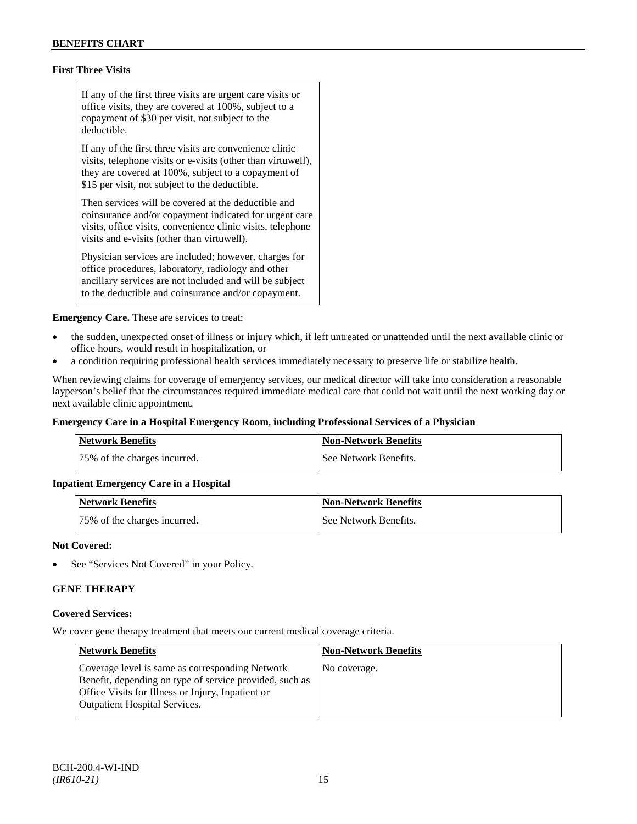## **First Three Visits**

If any of the first three visits are urgent care visits or office visits, they are covered at 100%, subject to a copayment of \$30 per visit, not subject to the deductible.

If any of the first three visits are convenience clinic visits, telephone visits or e-visits (other than virtuwell), they are covered at 100%, subject to a copayment of \$15 per visit, not subject to the deductible.

Then services will be covered at the deductible and coinsurance and/or copayment indicated for urgent care visits, office visits, convenience clinic visits, telephone visits and e-visits (other than virtuwell).

Physician services are included; however, charges for office procedures, laboratory, radiology and other ancillary services are not included and will be subject to the deductible and coinsurance and/or copayment.

**Emergency Care.** These are services to treat:

- the sudden, unexpected onset of illness or injury which, if left untreated or unattended until the next available clinic or office hours, would result in hospitalization, or
- a condition requiring professional health services immediately necessary to preserve life or stabilize health.

When reviewing claims for coverage of emergency services, our medical director will take into consideration a reasonable layperson's belief that the circumstances required immediate medical care that could not wait until the next working day or next available clinic appointment.

## **Emergency Care in a Hospital Emergency Room, including Professional Services of a Physician**

| Network Benefits             | <b>Non-Network Benefits</b> |
|------------------------------|-----------------------------|
| 75% of the charges incurred. | See Network Benefits.       |

## **Inpatient Emergency Care in a Hospital**

| <b>Network Benefits</b>      | <b>Non-Network Benefits</b> |
|------------------------------|-----------------------------|
| 75% of the charges incurred. | See Network Benefits.       |

#### **Not Covered:**

See "Services Not Covered" in your Policy.

## **GENE THERAPY**

#### **Covered Services:**

We cover gene therapy treatment that meets our current medical coverage criteria.

| <b>Network Benefits</b>                                                                                                                                                                                 | <b>Non-Network Benefits</b> |
|---------------------------------------------------------------------------------------------------------------------------------------------------------------------------------------------------------|-----------------------------|
| Coverage level is same as corresponding Network<br>Benefit, depending on type of service provided, such as<br>Office Visits for Illness or Injury, Inpatient or<br><b>Outpatient Hospital Services.</b> | No coverage.                |
|                                                                                                                                                                                                         |                             |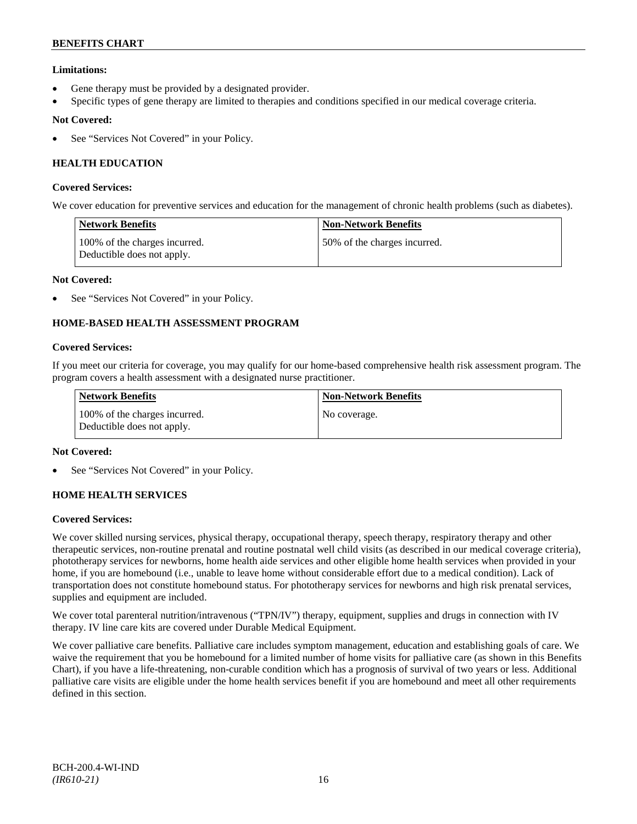## **Limitations:**

- Gene therapy must be provided by a designated provider.
- Specific types of gene therapy are limited to therapies and conditions specified in our medical coverage criteria.

## **Not Covered:**

See "Services Not Covered" in your Policy.

## **HEALTH EDUCATION**

## **Covered Services:**

We cover education for preventive services and education for the management of chronic health problems (such as diabetes).

| <b>Network Benefits</b>                                     | <b>Non-Network Benefits</b>   |
|-------------------------------------------------------------|-------------------------------|
| 100% of the charges incurred.<br>Deductible does not apply. | 150% of the charges incurred. |

### **Not Covered:**

See "Services Not Covered" in your Policy.

## **HOME-BASED HEALTH ASSESSMENT PROGRAM**

### **Covered Services:**

If you meet our criteria for coverage, you may qualify for our home-based comprehensive health risk assessment program. The program covers a health assessment with a designated nurse practitioner.

| <b>Network Benefits</b>                                     | <b>Non-Network Benefits</b> |
|-------------------------------------------------------------|-----------------------------|
| 100% of the charges incurred.<br>Deductible does not apply. | No coverage.                |

## **Not Covered:**

See "Services Not Covered" in your Policy.

## **HOME HEALTH SERVICES**

#### **Covered Services:**

We cover skilled nursing services, physical therapy, occupational therapy, speech therapy, respiratory therapy and other therapeutic services, non-routine prenatal and routine postnatal well child visits (as described in our medical coverage criteria), phototherapy services for newborns, home health aide services and other eligible home health services when provided in your home, if you are homebound (i.e., unable to leave home without considerable effort due to a medical condition). Lack of transportation does not constitute homebound status. For phototherapy services for newborns and high risk prenatal services, supplies and equipment are included.

We cover total parenteral nutrition/intravenous ("TPN/IV") therapy, equipment, supplies and drugs in connection with IV therapy. IV line care kits are covered under Durable Medical Equipment.

We cover palliative care benefits. Palliative care includes symptom management, education and establishing goals of care. We waive the requirement that you be homebound for a limited number of home visits for palliative care (as shown in this Benefits Chart), if you have a life-threatening, non-curable condition which has a prognosis of survival of two years or less. Additional palliative care visits are eligible under the home health services benefit if you are homebound and meet all other requirements defined in this section.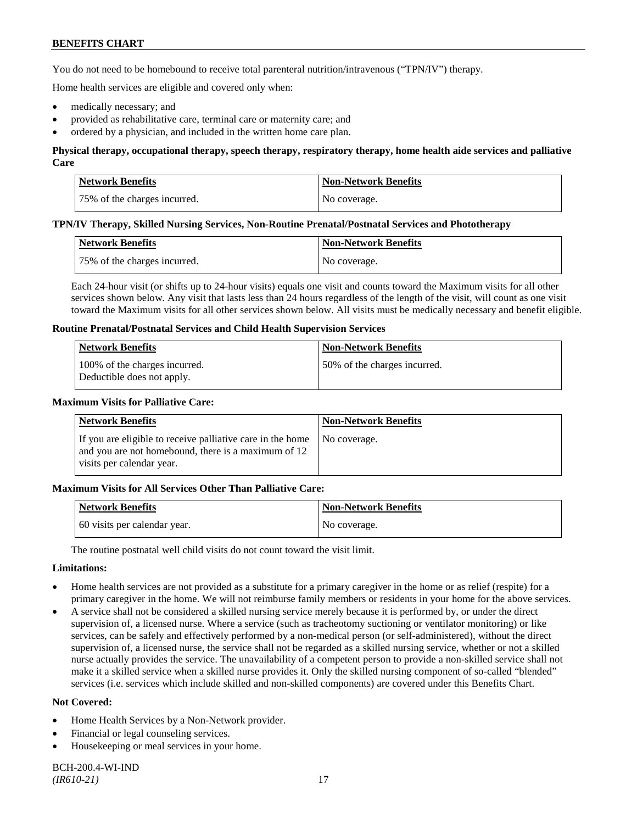You do not need to be homebound to receive total parenteral nutrition/intravenous ("TPN/IV") therapy.

Home health services are eligible and covered only when:

- medically necessary; and
- provided as rehabilitative care, terminal care or maternity care; and
- ordered by a physician, and included in the written home care plan.

## **Physical therapy, occupational therapy, speech therapy, respiratory therapy, home health aide services and palliative Care**

| Network Benefits             | <b>Non-Network Benefits</b> |
|------------------------------|-----------------------------|
| 75% of the charges incurred. | No coverage.                |

#### **TPN/IV Therapy, Skilled Nursing Services, Non-Routine Prenatal/Postnatal Services and Phototherapy**

| Network Benefits             | <b>Non-Network Benefits</b> |
|------------------------------|-----------------------------|
| 75% of the charges incurred. | No coverage.                |

Each 24-hour visit (or shifts up to 24-hour visits) equals one visit and counts toward the Maximum visits for all other services shown below. Any visit that lasts less than 24 hours regardless of the length of the visit, will count as one visit toward the Maximum visits for all other services shown below. All visits must be medically necessary and benefit eligible.

#### **Routine Prenatal/Postnatal Services and Child Health Supervision Services**

| <b>Network Benefits</b>                                     | <b>Non-Network Benefits</b>  |
|-------------------------------------------------------------|------------------------------|
| 100% of the charges incurred.<br>Deductible does not apply. | 50% of the charges incurred. |

## **Maximum Visits for Palliative Care:**

| Network Benefits                                                                                                                               | Non-Network Benefits |
|------------------------------------------------------------------------------------------------------------------------------------------------|----------------------|
| If you are eligible to receive palliative care in the home<br>and you are not homebound, there is a maximum of 12<br>visits per calendar year. | No coverage.         |

#### **Maximum Visits for All Services Other Than Palliative Care:**

| Network Benefits             | <b>Non-Network Benefits</b> |
|------------------------------|-----------------------------|
| 60 visits per calendar year. | No coverage.                |

The routine postnatal well child visits do not count toward the visit limit.

#### **Limitations:**

- Home health services are not provided as a substitute for a primary caregiver in the home or as relief (respite) for a primary caregiver in the home. We will not reimburse family members or residents in your home for the above services.
- A service shall not be considered a skilled nursing service merely because it is performed by, or under the direct supervision of, a licensed nurse. Where a service (such as tracheotomy suctioning or ventilator monitoring) or like services, can be safely and effectively performed by a non-medical person (or self-administered), without the direct supervision of, a licensed nurse, the service shall not be regarded as a skilled nursing service, whether or not a skilled nurse actually provides the service. The unavailability of a competent person to provide a non-skilled service shall not make it a skilled service when a skilled nurse provides it. Only the skilled nursing component of so-called "blended" services (i.e. services which include skilled and non-skilled components) are covered under this Benefits Chart.

- Home Health Services by a Non-Network provider.
- Financial or legal counseling services.
- Housekeeping or meal services in your home.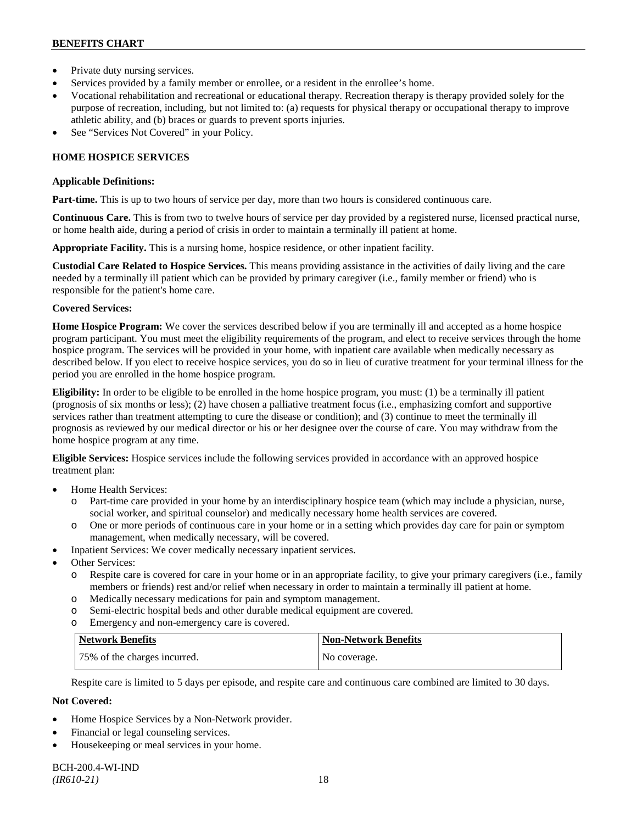- Private duty nursing services.
- Services provided by a family member or enrollee, or a resident in the enrollee's home.
- Vocational rehabilitation and recreational or educational therapy. Recreation therapy is therapy provided solely for the purpose of recreation, including, but not limited to: (a) requests for physical therapy or occupational therapy to improve athletic ability, and (b) braces or guards to prevent sports injuries.
- See "Services Not Covered" in your Policy.

## **HOME HOSPICE SERVICES**

#### **Applicable Definitions:**

**Part-time.** This is up to two hours of service per day, more than two hours is considered continuous care.

**Continuous Care.** This is from two to twelve hours of service per day provided by a registered nurse, licensed practical nurse, or home health aide, during a period of crisis in order to maintain a terminally ill patient at home.

**Appropriate Facility.** This is a nursing home, hospice residence, or other inpatient facility.

**Custodial Care Related to Hospice Services.** This means providing assistance in the activities of daily living and the care needed by a terminally ill patient which can be provided by primary caregiver (i.e., family member or friend) who is responsible for the patient's home care.

## **Covered Services:**

**Home Hospice Program:** We cover the services described below if you are terminally ill and accepted as a home hospice program participant. You must meet the eligibility requirements of the program, and elect to receive services through the home hospice program. The services will be provided in your home, with inpatient care available when medically necessary as described below. If you elect to receive hospice services, you do so in lieu of curative treatment for your terminal illness for the period you are enrolled in the home hospice program.

**Eligibility:** In order to be eligible to be enrolled in the home hospice program, you must: (1) be a terminally ill patient (prognosis of six months or less); (2) have chosen a palliative treatment focus (i.e., emphasizing comfort and supportive services rather than treatment attempting to cure the disease or condition); and (3) continue to meet the terminally ill prognosis as reviewed by our medical director or his or her designee over the course of care. You may withdraw from the home hospice program at any time.

**Eligible Services:** Hospice services include the following services provided in accordance with an approved hospice treatment plan:

- Home Health Services:
	- o Part-time care provided in your home by an interdisciplinary hospice team (which may include a physician, nurse, social worker, and spiritual counselor) and medically necessary home health services are covered.
	- o One or more periods of continuous care in your home or in a setting which provides day care for pain or symptom management, when medically necessary, will be covered.
- Inpatient Services: We cover medically necessary inpatient services.
- Other Services:
	- o Respite care is covered for care in your home or in an appropriate facility, to give your primary caregivers (i.e., family members or friends) rest and/or relief when necessary in order to maintain a terminally ill patient at home*.*
	- o Medically necessary medications for pain and symptom management.
	- o Semi-electric hospital beds and other durable medical equipment are covered.
	- o Emergency and non-emergency care is covered.

| Network Benefits             | <b>Non-Network Benefits</b> |
|------------------------------|-----------------------------|
| 75% of the charges incurred. | No coverage.                |

Respite care is limited to 5 days per episode, and respite care and continuous care combined are limited to 30 days.

- Home Hospice Services by a Non-Network provider.
- Financial or legal counseling services.
- Housekeeping or meal services in your home.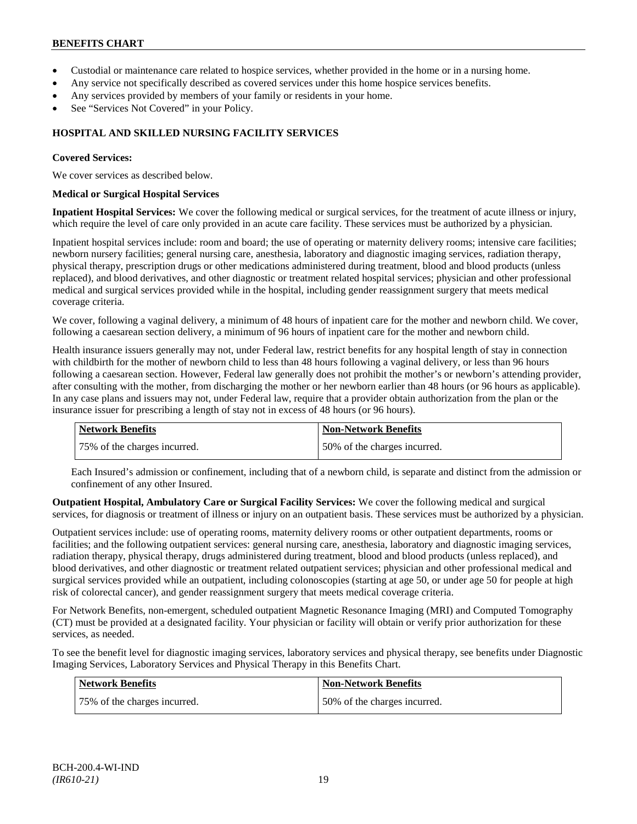- Custodial or maintenance care related to hospice services, whether provided in the home or in a nursing home.
- Any service not specifically described as covered services under this home hospice services benefits.
- Any services provided by members of your family or residents in your home.
- See "Services Not Covered" in your Policy.

## **HOSPITAL AND SKILLED NURSING FACILITY SERVICES**

### **Covered Services:**

We cover services as described below.

### **Medical or Surgical Hospital Services**

**Inpatient Hospital Services:** We cover the following medical or surgical services, for the treatment of acute illness or injury, which require the level of care only provided in an acute care facility. These services must be authorized by a physician.

Inpatient hospital services include: room and board; the use of operating or maternity delivery rooms; intensive care facilities; newborn nursery facilities; general nursing care, anesthesia, laboratory and diagnostic imaging services, radiation therapy, physical therapy, prescription drugs or other medications administered during treatment, blood and blood products (unless replaced), and blood derivatives, and other diagnostic or treatment related hospital services; physician and other professional medical and surgical services provided while in the hospital, including gender reassignment surgery that meets medical coverage criteria.

We cover, following a vaginal delivery, a minimum of 48 hours of inpatient care for the mother and newborn child. We cover, following a caesarean section delivery, a minimum of 96 hours of inpatient care for the mother and newborn child.

Health insurance issuers generally may not, under Federal law, restrict benefits for any hospital length of stay in connection with childbirth for the mother of newborn child to less than 48 hours following a vaginal delivery, or less than 96 hours following a caesarean section. However, Federal law generally does not prohibit the mother's or newborn's attending provider, after consulting with the mother, from discharging the mother or her newborn earlier than 48 hours (or 96 hours as applicable). In any case plans and issuers may not, under Federal law, require that a provider obtain authorization from the plan or the insurance issuer for prescribing a length of stay not in excess of 48 hours (or 96 hours).

| <b>Network Benefits</b>      | <b>Non-Network Benefits</b>  |
|------------------------------|------------------------------|
| 75% of the charges incurred. | 50% of the charges incurred. |

Each Insured's admission or confinement, including that of a newborn child, is separate and distinct from the admission or confinement of any other Insured.

**Outpatient Hospital, Ambulatory Care or Surgical Facility Services:** We cover the following medical and surgical services, for diagnosis or treatment of illness or injury on an outpatient basis. These services must be authorized by a physician.

Outpatient services include: use of operating rooms, maternity delivery rooms or other outpatient departments, rooms or facilities; and the following outpatient services: general nursing care, anesthesia, laboratory and diagnostic imaging services, radiation therapy, physical therapy, drugs administered during treatment, blood and blood products (unless replaced), and blood derivatives, and other diagnostic or treatment related outpatient services; physician and other professional medical and surgical services provided while an outpatient, including colonoscopies (starting at age 50, or under age 50 for people at high risk of colorectal cancer), and gender reassignment surgery that meets medical coverage criteria.

For Network Benefits, non-emergent, scheduled outpatient Magnetic Resonance Imaging (MRI) and Computed Tomography (CT) must be provided at a designated facility. Your physician or facility will obtain or verify prior authorization for these services, as needed.

To see the benefit level for diagnostic imaging services, laboratory services and physical therapy, see benefits under Diagnostic Imaging Services, Laboratory Services and Physical Therapy in this Benefits Chart.

| Network Benefits             | Non-Network Benefits         |
|------------------------------|------------------------------|
| 75% of the charges incurred. | 50% of the charges incurred. |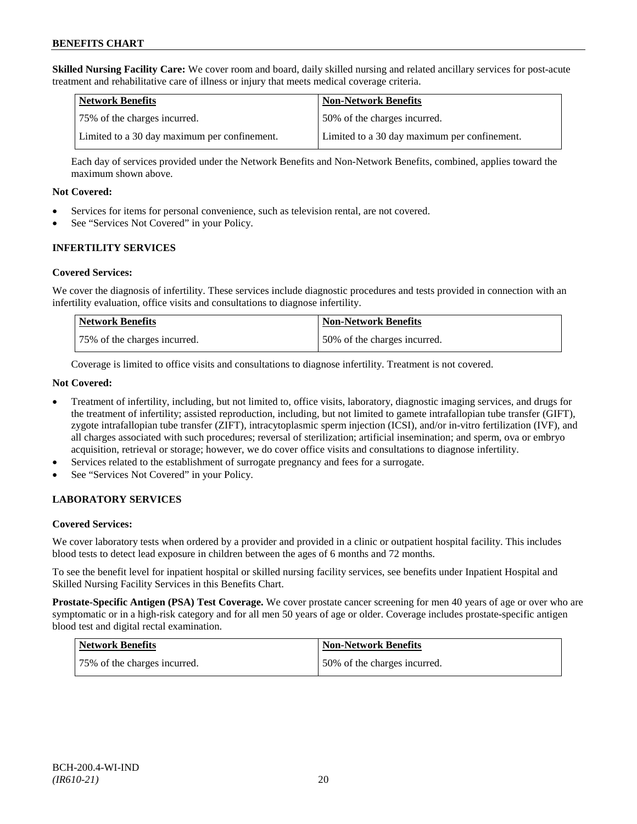**Skilled Nursing Facility Care:** We cover room and board, daily skilled nursing and related ancillary services for post-acute treatment and rehabilitative care of illness or injury that meets medical coverage criteria.

| Network Benefits                             | <b>Non-Network Benefits</b>                  |
|----------------------------------------------|----------------------------------------------|
| 175% of the charges incurred.                | 50% of the charges incurred.                 |
| Limited to a 30 day maximum per confinement. | Limited to a 30 day maximum per confinement. |

Each day of services provided under the Network Benefits and Non-Network Benefits, combined, applies toward the maximum shown above.

## **Not Covered:**

- Services for items for personal convenience, such as television rental, are not covered.
- See "Services Not Covered" in your Policy.

## **INFERTILITY SERVICES**

### **Covered Services:**

We cover the diagnosis of infertility. These services include diagnostic procedures and tests provided in connection with an infertility evaluation, office visits and consultations to diagnose infertility.

| <b>Network Benefits</b>      | <b>Non-Network Benefits</b>  |
|------------------------------|------------------------------|
| 75% of the charges incurred. | 50% of the charges incurred. |

Coverage is limited to office visits and consultations to diagnose infertility. Treatment is not covered.

## **Not Covered:**

- Treatment of infertility, including, but not limited to, office visits, laboratory, diagnostic imaging services, and drugs for the treatment of infertility; assisted reproduction, including, but not limited to gamete intrafallopian tube transfer (GIFT), zygote intrafallopian tube transfer (ZIFT), intracytoplasmic sperm injection (ICSI), and/or in-vitro fertilization (IVF), and all charges associated with such procedures; reversal of sterilization; artificial insemination; and sperm, ova or embryo acquisition, retrieval or storage; however, we do cover office visits and consultations to diagnose infertility.
- Services related to the establishment of surrogate pregnancy and fees for a surrogate.
- See "Services Not Covered" in your Policy.

## **LABORATORY SERVICES**

## **Covered Services:**

We cover laboratory tests when ordered by a provider and provided in a clinic or outpatient hospital facility. This includes blood tests to detect lead exposure in children between the ages of 6 months and 72 months.

To see the benefit level for inpatient hospital or skilled nursing facility services, see benefits under Inpatient Hospital and Skilled Nursing Facility Services in this Benefits Chart.

**Prostate-Specific Antigen (PSA) Test Coverage.** We cover prostate cancer screening for men 40 years of age or over who are symptomatic or in a high-risk category and for all men 50 years of age or older. Coverage includes prostate-specific antigen blood test and digital rectal examination.

| Network Benefits             | Non-Network Benefits         |
|------------------------------|------------------------------|
| 75% of the charges incurred. | 50% of the charges incurred. |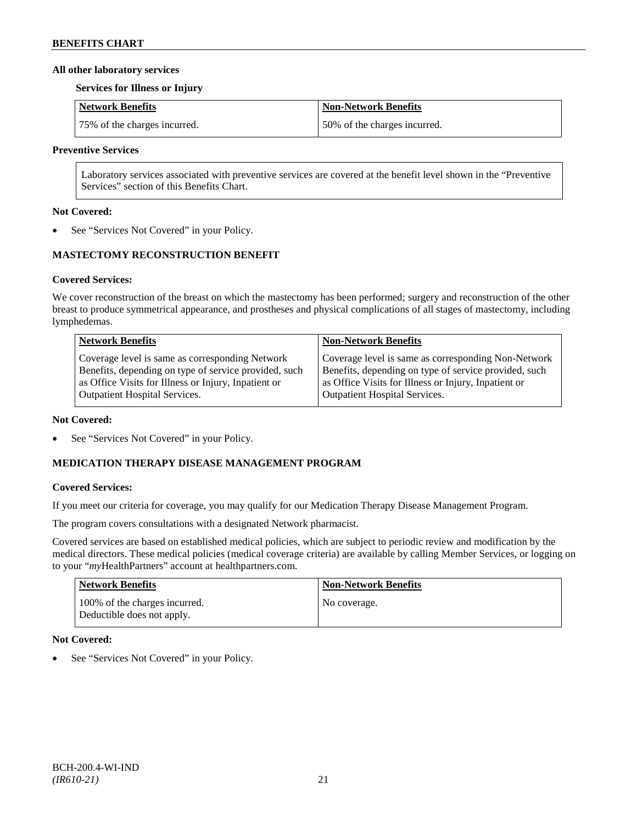### **All other laboratory services**

#### **Services for Illness or Injury**

| Network Benefits             | Non-Network Benefits         |
|------------------------------|------------------------------|
| 75% of the charges incurred. | 50% of the charges incurred. |

## **Preventive Services**

Laboratory services associated with preventive services are covered at the benefit level shown in the "Preventive Services" section of this Benefits Chart.

### **Not Covered:**

See "Services Not Covered" in your Policy.

## **MASTECTOMY RECONSTRUCTION BENEFIT**

## **Covered Services:**

We cover reconstruction of the breast on which the mastectomy has been performed; surgery and reconstruction of the other breast to produce symmetrical appearance, and prostheses and physical complications of all stages of mastectomy, including lymphedemas.

| <b>Network Benefits</b>                               | <b>Non-Network Benefits</b>                           |
|-------------------------------------------------------|-------------------------------------------------------|
| Coverage level is same as corresponding Network       | Coverage level is same as corresponding Non-Network   |
| Benefits, depending on type of service provided, such | Benefits, depending on type of service provided, such |
| as Office Visits for Illness or Injury, Inpatient or  | as Office Visits for Illness or Injury, Inpatient or  |
| Outpatient Hospital Services.                         | <b>Outpatient Hospital Services.</b>                  |

#### **Not Covered:**

• See "Services Not Covered" in your Policy.

## **MEDICATION THERAPY DISEASE MANAGEMENT PROGRAM**

#### **Covered Services:**

If you meet our criteria for coverage, you may qualify for our Medication Therapy Disease Management Program.

The program covers consultations with a designated Network pharmacist.

Covered services are based on established medical policies, which are subject to periodic review and modification by the medical directors. These medical policies (medical coverage criteria) are available by calling Member Services, or logging on to your "*my*HealthPartners" account at [healthpartners.com.](http://www.healthpartners.com/)

| Network Benefits                                            | Non-Network Benefits |
|-------------------------------------------------------------|----------------------|
| 100% of the charges incurred.<br>Deductible does not apply. | No coverage.         |

## **Not Covered:**

See "Services Not Covered" in your Policy.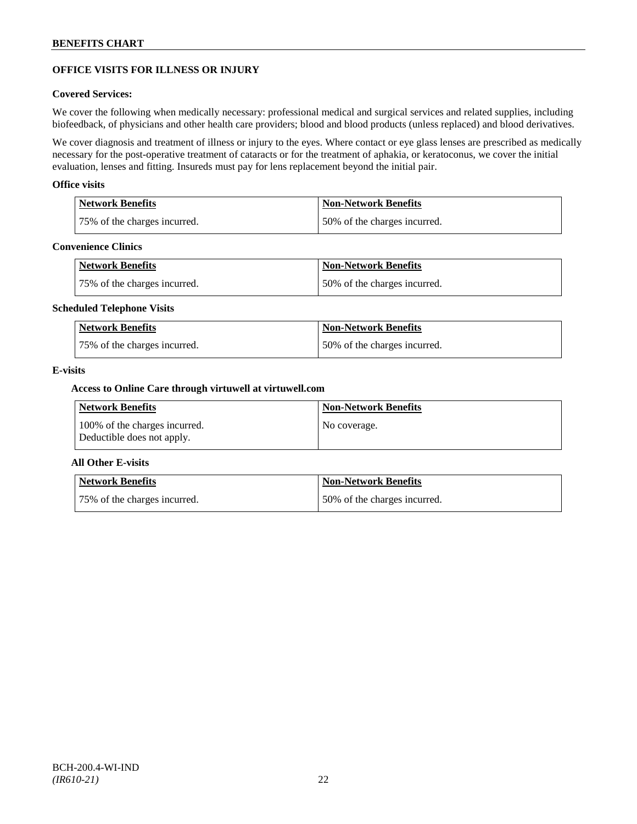## **OFFICE VISITS FOR ILLNESS OR INJURY**

## **Covered Services:**

We cover the following when medically necessary: professional medical and surgical services and related supplies, including biofeedback, of physicians and other health care providers; blood and blood products (unless replaced) and blood derivatives.

We cover diagnosis and treatment of illness or injury to the eyes. Where contact or eye glass lenses are prescribed as medically necessary for the post-operative treatment of cataracts or for the treatment of aphakia, or keratoconus, we cover the initial evaluation, lenses and fitting. Insureds must pay for lens replacement beyond the initial pair.

### **Office visits**

| Network Benefits             | Non-Network Benefits         |
|------------------------------|------------------------------|
| 75% of the charges incurred. | 50% of the charges incurred. |

## **Convenience Clinics**

| Network Benefits             | <b>Non-Network Benefits</b>  |
|------------------------------|------------------------------|
| 75% of the charges incurred. | 50% of the charges incurred. |

### **Scheduled Telephone Visits**

| <b>Network Benefits</b>      | <b>Non-Network Benefits</b>  |
|------------------------------|------------------------------|
| 75% of the charges incurred. | 50% of the charges incurred. |

### **E-visits**

## **Access to Online Care through virtuwell a[t virtuwell.com](http://www.virtuwell.com/)**

| Network Benefits                                            | <b>Non-Network Benefits</b> |
|-------------------------------------------------------------|-----------------------------|
| 100% of the charges incurred.<br>Deductible does not apply. | No coverage.                |

## **All Other E-visits**

| Network Benefits             | <b>Non-Network Benefits</b>  |
|------------------------------|------------------------------|
| 75% of the charges incurred. | 50% of the charges incurred. |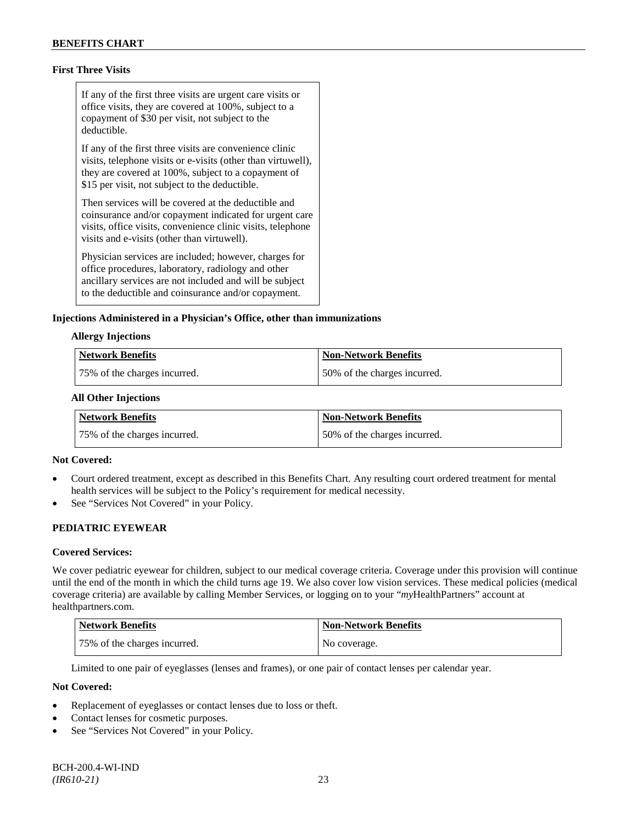## **First Three Visits**

If any of the first three visits are urgent care visits or office visits, they are covered at 100%, subject to a copayment of \$30 per visit, not subject to the deductible.

If any of the first three visits are convenience clinic visits, telephone visits or e-visits (other than virtuwell), they are covered at 100%, subject to a copayment of \$15 per visit, not subject to the deductible.

Then services will be covered at the deductible and coinsurance and/or copayment indicated for urgent care visits, office visits, convenience clinic visits, telephone visits and e-visits (other than virtuwell).

Physician services are included; however, charges for office procedures, laboratory, radiology and other ancillary services are not included and will be subject to the deductible and coinsurance and/or copayment.

### **Injections Administered in a Physician's Office, other than immunizations**

#### **Allergy Injections**

| Network Benefits             | Non-Network Benefits         |
|------------------------------|------------------------------|
| 75% of the charges incurred. | 50% of the charges incurred. |

#### **All Other Injections**

| Network Benefits             | <b>Non-Network Benefits</b>  |
|------------------------------|------------------------------|
| 75% of the charges incurred. | 50% of the charges incurred. |

#### **Not Covered:**

- Court ordered treatment, except as described in this Benefits Chart. Any resulting court ordered treatment for mental health services will be subject to the Policy's requirement for medical necessity.
- See "Services Not Covered" in your Policy.

## **PEDIATRIC EYEWEAR**

#### **Covered Services:**

We cover pediatric eyewear for children, subject to our medical coverage criteria. Coverage under this provision will continue until the end of the month in which the child turns age 19. We also cover low vision services. These medical policies (medical coverage criteria) are available by calling Member Services, or logging on to your "*my*HealthPartners" account at [healthpartners.com.](http://www.healthpartners.com/)

| <b>Network Benefits</b>      | <b>Non-Network Benefits</b> |
|------------------------------|-----------------------------|
| 75% of the charges incurred. | No coverage.                |

Limited to one pair of eyeglasses (lenses and frames), or one pair of contact lenses per calendar year.

- Replacement of eyeglasses or contact lenses due to loss or theft.
- Contact lenses for cosmetic purposes.
- See "Services Not Covered" in your Policy.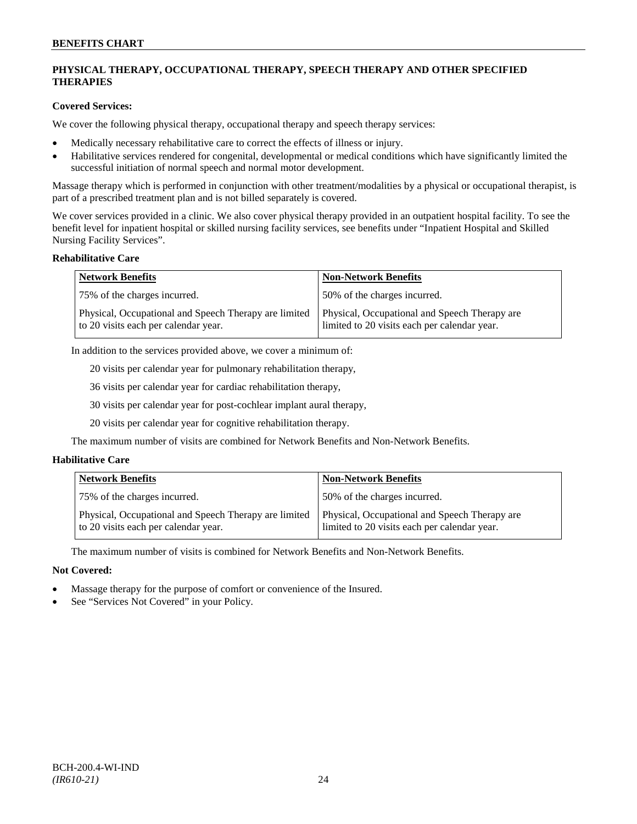## **PHYSICAL THERAPY, OCCUPATIONAL THERAPY, SPEECH THERAPY AND OTHER SPECIFIED THERAPIES**

## **Covered Services:**

We cover the following physical therapy, occupational therapy and speech therapy services:

- Medically necessary rehabilitative care to correct the effects of illness or injury.
- Habilitative services rendered for congenital, developmental or medical conditions which have significantly limited the successful initiation of normal speech and normal motor development.

Massage therapy which is performed in conjunction with other treatment/modalities by a physical or occupational therapist, is part of a prescribed treatment plan and is not billed separately is covered.

We cover services provided in a clinic. We also cover physical therapy provided in an outpatient hospital facility. To see the benefit level for inpatient hospital or skilled nursing facility services, see benefits under "Inpatient Hospital and Skilled Nursing Facility Services".

### **Rehabilitative Care**

| <b>Network Benefits</b>                                                                       | <b>Non-Network Benefits</b>                                                                   |
|-----------------------------------------------------------------------------------------------|-----------------------------------------------------------------------------------------------|
| 75% of the charges incurred.                                                                  | 50% of the charges incurred.                                                                  |
| Physical, Occupational and Speech Therapy are limited<br>to 20 visits each per calendar year. | Physical, Occupational and Speech Therapy are<br>limited to 20 visits each per calendar year. |

In addition to the services provided above, we cover a minimum of:

20 visits per calendar year for pulmonary rehabilitation therapy,

36 visits per calendar year for cardiac rehabilitation therapy,

30 visits per calendar year for post-cochlear implant aural therapy,

20 visits per calendar year for cognitive rehabilitation therapy.

The maximum number of visits are combined for Network Benefits and Non-Network Benefits.

## **Habilitative Care**

| <b>Network Benefits</b>                                                                       | <b>Non-Network Benefits</b>                                                                   |
|-----------------------------------------------------------------------------------------------|-----------------------------------------------------------------------------------------------|
| 75% of the charges incurred.                                                                  | 150% of the charges incurred.                                                                 |
| Physical, Occupational and Speech Therapy are limited<br>to 20 visits each per calendar year. | Physical, Occupational and Speech Therapy are<br>limited to 20 visits each per calendar year. |

The maximum number of visits is combined for Network Benefits and Non-Network Benefits.

- Massage therapy for the purpose of comfort or convenience of the Insured.
- See "Services Not Covered" in your Policy.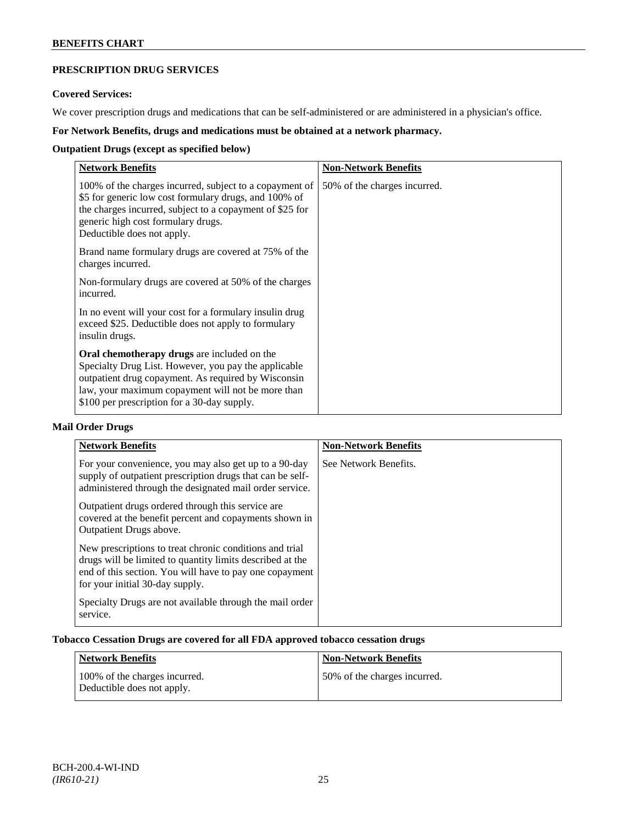## **PRESCRIPTION DRUG SERVICES**

## **Covered Services:**

We cover prescription drugs and medications that can be self-administered or are administered in a physician's office.

## **For Network Benefits, drugs and medications must be obtained at a network pharmacy.**

## **Outpatient Drugs (except as specified below)**

| <b>Network Benefits</b>                                                                                                                                                                                                                                               | <b>Non-Network Benefits</b>  |
|-----------------------------------------------------------------------------------------------------------------------------------------------------------------------------------------------------------------------------------------------------------------------|------------------------------|
| 100% of the charges incurred, subject to a copayment of<br>\$5 for generic low cost formulary drugs, and 100% of<br>the charges incurred, subject to a copayment of \$25 for<br>generic high cost formulary drugs.<br>Deductible does not apply.                      | 50% of the charges incurred. |
| Brand name formulary drugs are covered at 75% of the<br>charges incurred.                                                                                                                                                                                             |                              |
| Non-formulary drugs are covered at 50% of the charges<br>incurred.                                                                                                                                                                                                    |                              |
| In no event will your cost for a formulary insulin drug<br>exceed \$25. Deductible does not apply to formulary<br>insulin drugs.                                                                                                                                      |                              |
| <b>Oral chemotherapy drugs</b> are included on the<br>Specialty Drug List. However, you pay the applicable<br>outpatient drug copayment. As required by Wisconsin<br>law, your maximum copayment will not be more than<br>\$100 per prescription for a 30-day supply. |                              |

## **Mail Order Drugs**

| <b>Network Benefits</b>                                                                                                                                                                                            | <b>Non-Network Benefits</b> |
|--------------------------------------------------------------------------------------------------------------------------------------------------------------------------------------------------------------------|-----------------------------|
| For your convenience, you may also get up to a 90-day<br>supply of outpatient prescription drugs that can be self-<br>administered through the designated mail order service.                                      | See Network Benefits.       |
| Outpatient drugs ordered through this service are.<br>covered at the benefit percent and copayments shown in<br>Outpatient Drugs above.                                                                            |                             |
| New prescriptions to treat chronic conditions and trial<br>drugs will be limited to quantity limits described at the<br>end of this section. You will have to pay one copayment<br>for your initial 30-day supply. |                             |
| Specialty Drugs are not available through the mail order<br>service.                                                                                                                                               |                             |

## **Tobacco Cessation Drugs are covered for all FDA approved tobacco cessation drugs**

| Network Benefits                                            | <b>Non-Network Benefits</b>  |
|-------------------------------------------------------------|------------------------------|
| 100% of the charges incurred.<br>Deductible does not apply. | 50% of the charges incurred. |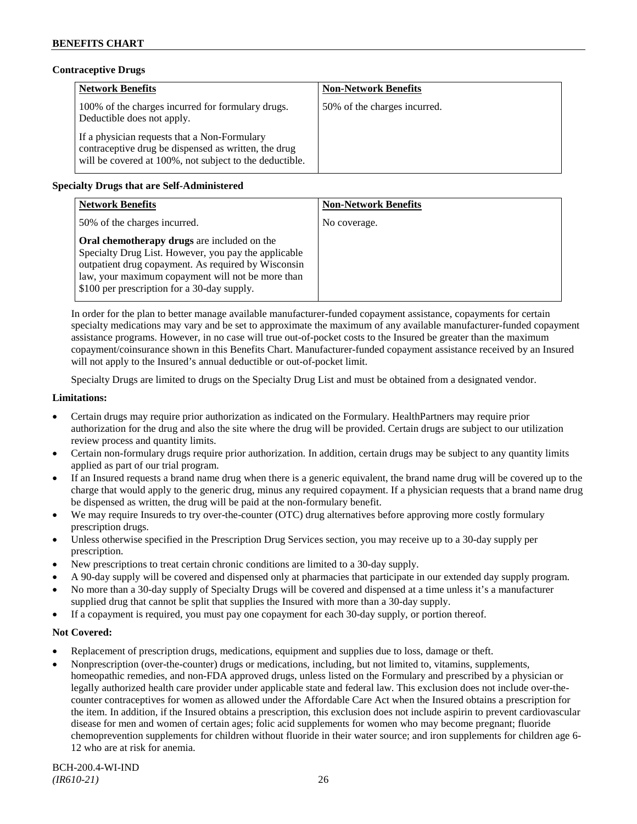## **Contraceptive Drugs**

| <b>Network Benefits</b>                                                                                                                                         | <b>Non-Network Benefits</b>  |
|-----------------------------------------------------------------------------------------------------------------------------------------------------------------|------------------------------|
| 100% of the charges incurred for formulary drugs.<br>Deductible does not apply.                                                                                 | 50% of the charges incurred. |
| If a physician requests that a Non-Formulary<br>contraceptive drug be dispensed as written, the drug<br>will be covered at 100%, not subject to the deductible. |                              |

## **Specialty Drugs that are Self-Administered**

| <b>Network Benefits</b>                                                                                                                                                                                                                                        | <b>Non-Network Benefits</b> |
|----------------------------------------------------------------------------------------------------------------------------------------------------------------------------------------------------------------------------------------------------------------|-----------------------------|
| 50% of the charges incurred.                                                                                                                                                                                                                                   | No coverage.                |
| Oral chemotherapy drugs are included on the<br>Specialty Drug List. However, you pay the applicable<br>outpatient drug copayment. As required by Wisconsin<br>law, your maximum copayment will not be more than<br>\$100 per prescription for a 30-day supply. |                             |

In order for the plan to better manage available manufacturer-funded copayment assistance, copayments for certain specialty medications may vary and be set to approximate the maximum of any available manufacturer-funded copayment assistance programs. However, in no case will true out-of-pocket costs to the Insured be greater than the maximum copayment/coinsurance shown in this Benefits Chart. Manufacturer-funded copayment assistance received by an Insured will not apply to the Insured's annual deductible or out-of-pocket limit.

Specialty Drugs are limited to drugs on the Specialty Drug List and must be obtained from a designated vendor.

### **Limitations:**

- Certain drugs may require prior authorization as indicated on the Formulary. HealthPartners may require prior authorization for the drug and also the site where the drug will be provided. Certain drugs are subject to our utilization review process and quantity limits.
- Certain non-formulary drugs require prior authorization. In addition, certain drugs may be subject to any quantity limits applied as part of our trial program.
- If an Insured requests a brand name drug when there is a generic equivalent, the brand name drug will be covered up to the charge that would apply to the generic drug, minus any required copayment. If a physician requests that a brand name drug be dispensed as written, the drug will be paid at the non-formulary benefit.
- We may require Insureds to try over-the-counter (OTC) drug alternatives before approving more costly formulary prescription drugs.
- Unless otherwise specified in the Prescription Drug Services section, you may receive up to a 30-day supply per prescription.
- New prescriptions to treat certain chronic conditions are limited to a 30-day supply.
- A 90-day supply will be covered and dispensed only at pharmacies that participate in our extended day supply program.
- No more than a 30-day supply of Specialty Drugs will be covered and dispensed at a time unless it's a manufacturer supplied drug that cannot be split that supplies the Insured with more than a 30-day supply.
- If a copayment is required, you must pay one copayment for each 30-day supply, or portion thereof.

- Replacement of prescription drugs, medications, equipment and supplies due to loss, damage or theft.
- Nonprescription (over-the-counter) drugs or medications, including, but not limited to, vitamins, supplements, homeopathic remedies, and non-FDA approved drugs, unless listed on the Formulary and prescribed by a physician or legally authorized health care provider under applicable state and federal law. This exclusion does not include over-thecounter contraceptives for women as allowed under the Affordable Care Act when the Insured obtains a prescription for the item. In addition, if the Insured obtains a prescription, this exclusion does not include aspirin to prevent cardiovascular disease for men and women of certain ages; folic acid supplements for women who may become pregnant; fluoride chemoprevention supplements for children without fluoride in their water source; and iron supplements for children age 6- 12 who are at risk for anemia.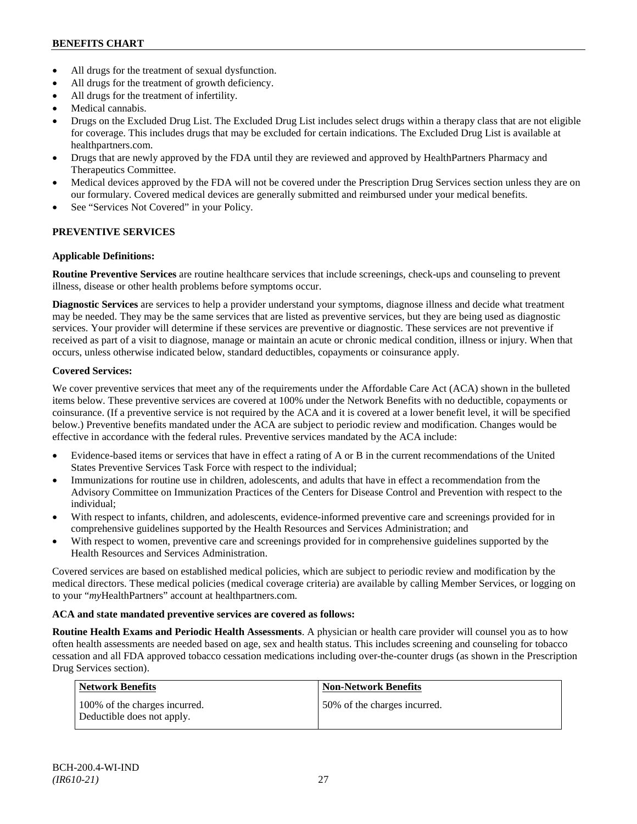- All drugs for the treatment of sexual dysfunction.
- All drugs for the treatment of growth deficiency.
- All drugs for the treatment of infertility.
- Medical cannabis.
- Drugs on the Excluded Drug List. The Excluded Drug List includes select drugs within a therapy class that are not eligible for coverage. This includes drugs that may be excluded for certain indications. The Excluded Drug List is available at [healthpartners.com.](http://www.healthpartners.com/)
- Drugs that are newly approved by the FDA until they are reviewed and approved by HealthPartners Pharmacy and Therapeutics Committee.
- Medical devices approved by the FDA will not be covered under the Prescription Drug Services section unless they are on our formulary. Covered medical devices are generally submitted and reimbursed under your medical benefits.
- See "Services Not Covered" in your Policy.

## **PREVENTIVE SERVICES**

## **Applicable Definitions:**

**Routine Preventive Services** are routine healthcare services that include screenings, check-ups and counseling to prevent illness, disease or other health problems before symptoms occur.

**Diagnostic Services** are services to help a provider understand your symptoms, diagnose illness and decide what treatment may be needed. They may be the same services that are listed as preventive services, but they are being used as diagnostic services. Your provider will determine if these services are preventive or diagnostic. These services are not preventive if received as part of a visit to diagnose, manage or maintain an acute or chronic medical condition, illness or injury. When that occurs, unless otherwise indicated below, standard deductibles, copayments or coinsurance apply.

## **Covered Services:**

We cover preventive services that meet any of the requirements under the Affordable Care Act (ACA) shown in the bulleted items below. These preventive services are covered at 100% under the Network Benefits with no deductible, copayments or coinsurance. (If a preventive service is not required by the ACA and it is covered at a lower benefit level, it will be specified below.) Preventive benefits mandated under the ACA are subject to periodic review and modification. Changes would be effective in accordance with the federal rules. Preventive services mandated by the ACA include:

- Evidence-based items or services that have in effect a rating of A or B in the current recommendations of the United States Preventive Services Task Force with respect to the individual;
- Immunizations for routine use in children, adolescents, and adults that have in effect a recommendation from the Advisory Committee on Immunization Practices of the Centers for Disease Control and Prevention with respect to the individual;
- With respect to infants, children, and adolescents, evidence-informed preventive care and screenings provided for in comprehensive guidelines supported by the Health Resources and Services Administration; and
- With respect to women, preventive care and screenings provided for in comprehensive guidelines supported by the Health Resources and Services Administration.

Covered services are based on established medical policies, which are subject to periodic review and modification by the medical directors. These medical policies (medical coverage criteria) are available by calling Member Services, or logging on to your "*my*HealthPartners" account at [healthpartners.com.](http://www.healthpartners.com/)

## **ACA and state mandated preventive services are covered as follows:**

**Routine Health Exams and Periodic Health Assessments**. A physician or health care provider will counsel you as to how often health assessments are needed based on age, sex and health status. This includes screening and counseling for tobacco cessation and all FDA approved tobacco cessation medications including over-the-counter drugs (as shown in the Prescription Drug Services section).

| Network Benefits                                            | <b>Non-Network Benefits</b>  |
|-------------------------------------------------------------|------------------------------|
| 100% of the charges incurred.<br>Deductible does not apply. | 50% of the charges incurred. |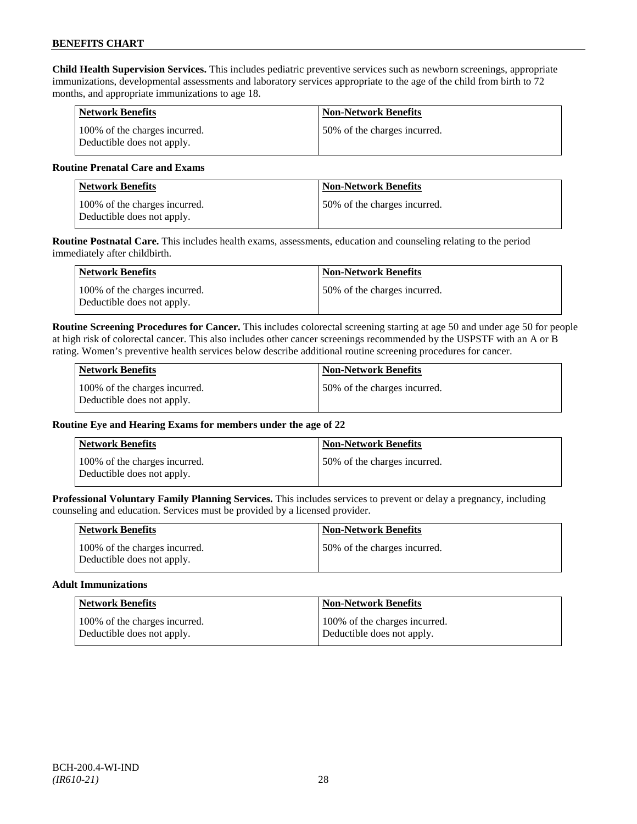**Child Health Supervision Services.** This includes pediatric preventive services such as newborn screenings, appropriate immunizations, developmental assessments and laboratory services appropriate to the age of the child from birth to 72 months, and appropriate immunizations to age 18.

| <b>Network Benefits</b>                                     | <b>Non-Network Benefits</b>  |
|-------------------------------------------------------------|------------------------------|
| 100% of the charges incurred.<br>Deductible does not apply. | 50% of the charges incurred. |

## **Routine Prenatal Care and Exams**

| <b>Network Benefits</b>                                     | <b>Non-Network Benefits</b>   |
|-------------------------------------------------------------|-------------------------------|
| 100% of the charges incurred.<br>Deductible does not apply. | 150% of the charges incurred. |

**Routine Postnatal Care.** This includes health exams, assessments, education and counseling relating to the period immediately after childbirth.

| Network Benefits                                            | <b>Non-Network Benefits</b>  |
|-------------------------------------------------------------|------------------------------|
| 100% of the charges incurred.<br>Deductible does not apply. | 50% of the charges incurred. |

**Routine Screening Procedures for Cancer.** This includes colorectal screening starting at age 50 and under age 50 for people at high risk of colorectal cancer. This also includes other cancer screenings recommended by the USPSTF with an A or B rating. Women's preventive health services below describe additional routine screening procedures for cancer.

| Network Benefits                                            | <b>Non-Network Benefits</b>  |
|-------------------------------------------------------------|------------------------------|
| 100% of the charges incurred.<br>Deductible does not apply. | 50% of the charges incurred. |

## **Routine Eye and Hearing Exams for members under the age of 22**

| <b>Network Benefits</b>                                     | <b>Non-Network Benefits</b>  |
|-------------------------------------------------------------|------------------------------|
| 100% of the charges incurred.<br>Deductible does not apply. | 50% of the charges incurred. |

**Professional Voluntary Family Planning Services.** This includes services to prevent or delay a pregnancy, including counseling and education. Services must be provided by a licensed provider.

| <b>Network Benefits</b>                                     | <b>Non-Network Benefits</b>   |
|-------------------------------------------------------------|-------------------------------|
| 100% of the charges incurred.<br>Deductible does not apply. | 150% of the charges incurred. |

#### **Adult Immunizations**

| <b>Network Benefits</b>       | <b>Non-Network Benefits</b>   |
|-------------------------------|-------------------------------|
| 100% of the charges incurred. | 100% of the charges incurred. |
| Deductible does not apply.    | Deductible does not apply.    |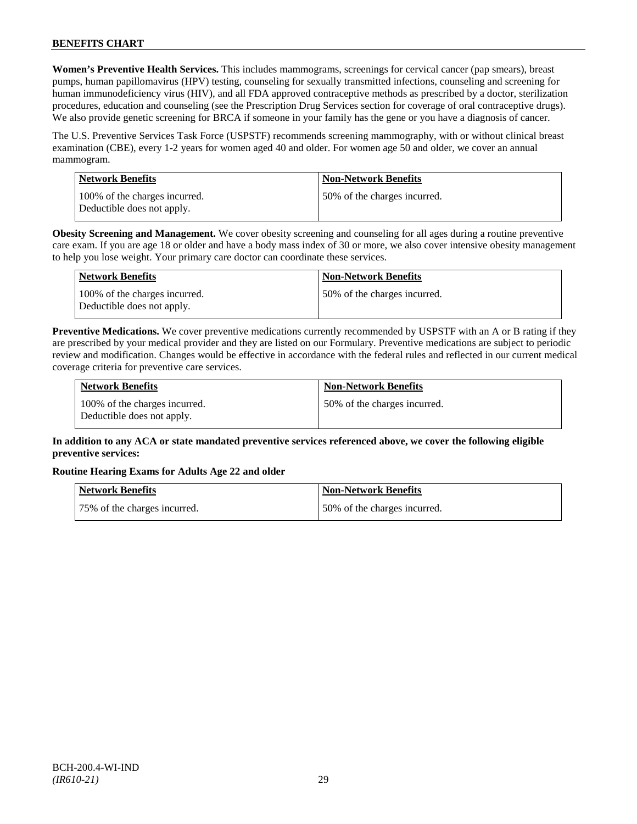**Women's Preventive Health Services.** This includes mammograms, screenings for cervical cancer (pap smears), breast pumps, human papillomavirus (HPV) testing, counseling for sexually transmitted infections, counseling and screening for human immunodeficiency virus (HIV), and all FDA approved contraceptive methods as prescribed by a doctor, sterilization procedures, education and counseling (see the Prescription Drug Services section for coverage of oral contraceptive drugs). We also provide genetic screening for BRCA if someone in your family has the gene or you have a diagnosis of cancer.

The U.S. Preventive Services Task Force (USPSTF) recommends screening mammography, with or without clinical breast examination (CBE), every 1-2 years for women aged 40 and older. For women age 50 and older, we cover an annual mammogram.

| Network Benefits                                            | <b>Non-Network Benefits</b>   |
|-------------------------------------------------------------|-------------------------------|
| 100% of the charges incurred.<br>Deductible does not apply. | 150% of the charges incurred. |

**Obesity Screening and Management.** We cover obesity screening and counseling for all ages during a routine preventive care exam. If you are age 18 or older and have a body mass index of 30 or more, we also cover intensive obesity management to help you lose weight. Your primary care doctor can coordinate these services.

| <b>Network Benefits</b>                                     | <b>Non-Network Benefits</b>   |
|-------------------------------------------------------------|-------------------------------|
| 100% of the charges incurred.<br>Deductible does not apply. | 150% of the charges incurred. |

**Preventive Medications.** We cover preventive medications currently recommended by USPSTF with an A or B rating if they are prescribed by your medical provider and they are listed on our Formulary. Preventive medications are subject to periodic review and modification. Changes would be effective in accordance with the federal rules and reflected in our current medical coverage criteria for preventive care services.

| <b>Network Benefits</b>                                     | <b>Non-Network Benefits</b>  |
|-------------------------------------------------------------|------------------------------|
| 100% of the charges incurred.<br>Deductible does not apply. | 50% of the charges incurred. |

## **In addition to any ACA or state mandated preventive services referenced above, we cover the following eligible preventive services:**

## **Routine Hearing Exams for Adults Age 22 and older**

| Network Benefits             | Non-Network Benefits         |
|------------------------------|------------------------------|
| 75% of the charges incurred. | 50% of the charges incurred. |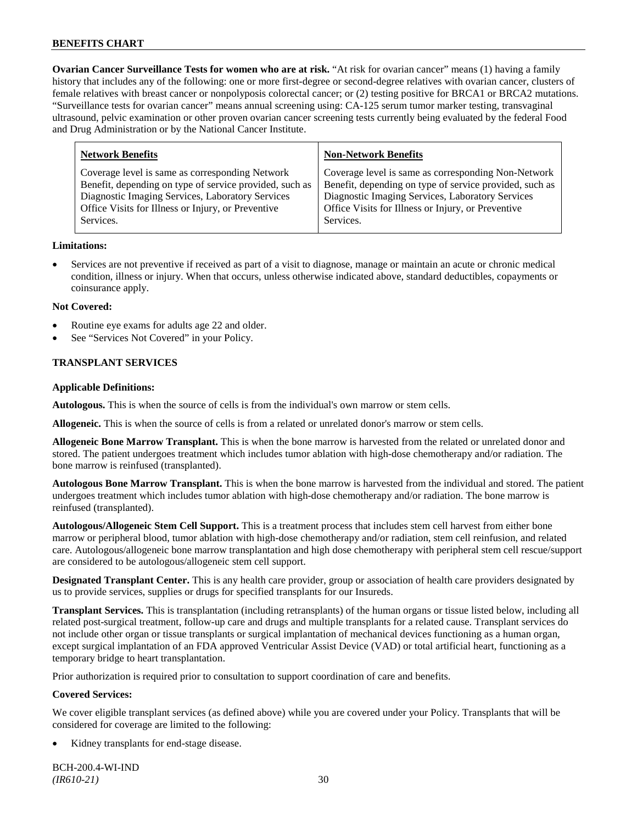**Ovarian Cancer Surveillance Tests for women who are at risk.** "At risk for ovarian cancer" means (1) having a family history that includes any of the following: one or more first-degree or second-degree relatives with ovarian cancer, clusters of female relatives with breast cancer or nonpolyposis colorectal cancer; or (2) testing positive for BRCA1 or BRCA2 mutations. "Surveillance tests for ovarian cancer" means annual screening using: CA-125 serum tumor marker testing, transvaginal ultrasound, pelvic examination or other proven ovarian cancer screening tests currently being evaluated by the federal Food and Drug Administration or by the National Cancer Institute.

| <b>Network Benefits</b>                                 | <b>Non-Network Benefits</b>                             |
|---------------------------------------------------------|---------------------------------------------------------|
| Coverage level is same as corresponding Network         | Coverage level is same as corresponding Non-Network     |
| Benefit, depending on type of service provided, such as | Benefit, depending on type of service provided, such as |
| Diagnostic Imaging Services, Laboratory Services        | Diagnostic Imaging Services, Laboratory Services        |
| Office Visits for Illness or Injury, or Preventive      | Office Visits for Illness or Injury, or Preventive      |
| Services.                                               | Services.                                               |
|                                                         |                                                         |

### **Limitations:**

• Services are not preventive if received as part of a visit to diagnose, manage or maintain an acute or chronic medical condition, illness or injury. When that occurs, unless otherwise indicated above, standard deductibles, copayments or coinsurance apply.

### **Not Covered:**

- Routine eye exams for adults age 22 and older.
- See "Services Not Covered" in your Policy.

## **TRANSPLANT SERVICES**

### **Applicable Definitions:**

**Autologous.** This is when the source of cells is from the individual's own marrow or stem cells.

**Allogeneic.** This is when the source of cells is from a related or unrelated donor's marrow or stem cells.

**Allogeneic Bone Marrow Transplant.** This is when the bone marrow is harvested from the related or unrelated donor and stored. The patient undergoes treatment which includes tumor ablation with high-dose chemotherapy and/or radiation. The bone marrow is reinfused (transplanted).

**Autologous Bone Marrow Transplant.** This is when the bone marrow is harvested from the individual and stored. The patient undergoes treatment which includes tumor ablation with high-dose chemotherapy and/or radiation. The bone marrow is reinfused (transplanted).

**Autologous/Allogeneic Stem Cell Support.** This is a treatment process that includes stem cell harvest from either bone marrow or peripheral blood, tumor ablation with high-dose chemotherapy and/or radiation, stem cell reinfusion, and related care. Autologous/allogeneic bone marrow transplantation and high dose chemotherapy with peripheral stem cell rescue/support are considered to be autologous/allogeneic stem cell support.

**Designated Transplant Center.** This is any health care provider, group or association of health care providers designated by us to provide services, supplies or drugs for specified transplants for our Insureds.

**Transplant Services.** This is transplantation (including retransplants) of the human organs or tissue listed below, including all related post-surgical treatment, follow-up care and drugs and multiple transplants for a related cause. Transplant services do not include other organ or tissue transplants or surgical implantation of mechanical devices functioning as a human organ, except surgical implantation of an FDA approved Ventricular Assist Device (VAD) or total artificial heart, functioning as a temporary bridge to heart transplantation.

Prior authorization is required prior to consultation to support coordination of care and benefits.

## **Covered Services:**

We cover eligible transplant services (as defined above) while you are covered under your Policy. Transplants that will be considered for coverage are limited to the following:

Kidney transplants for end-stage disease.

BCH-200.4-WI-IND *(IR610-21)* 30